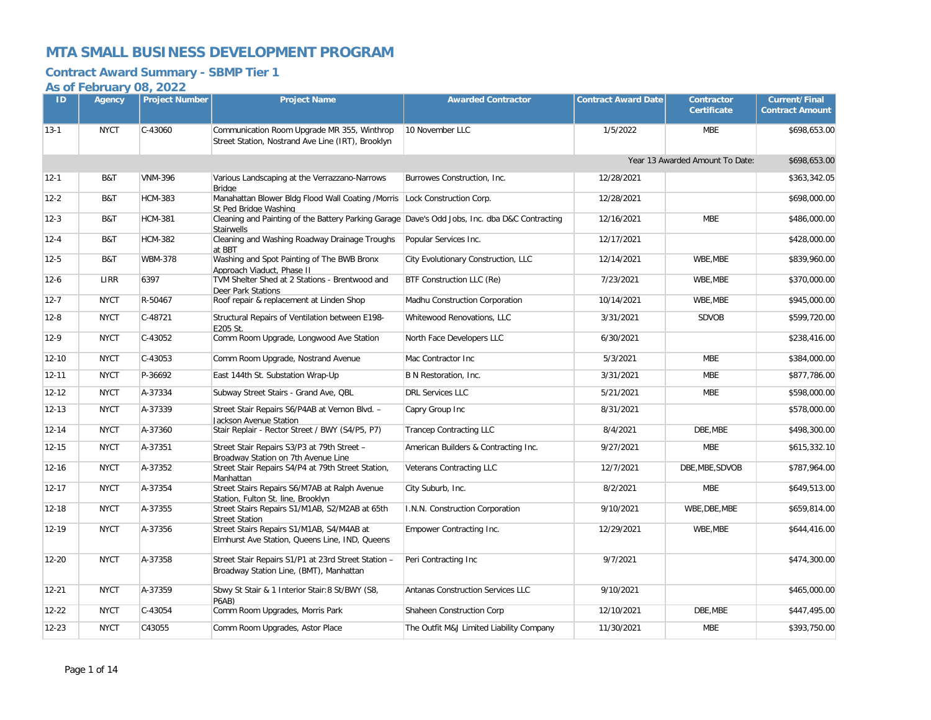### **Contract Award Summary - SBMP Tier 1**

| ID        | Agency      | <b>Project Number</b> | <b>Project Name</b>                                                                              | <b>Awarded Contractor</b>                | <b>Contract Award Date</b> | <b>Contractor</b><br><b>Certificate</b> | <b>Current/Final</b><br><b>Contract Amount</b> |
|-----------|-------------|-----------------------|--------------------------------------------------------------------------------------------------|------------------------------------------|----------------------------|-----------------------------------------|------------------------------------------------|
| $13-1$    | <b>NYCT</b> | C-43060               | Communication Room Upgrade MR 355, Winthrop<br>Street Station, Nostrand Ave Line (IRT), Brooklyn | 10 November LLC                          | 1/5/2022                   | <b>MBE</b>                              | \$698,653.00                                   |
|           |             |                       |                                                                                                  |                                          |                            | Year 13 Awarded Amount To Date:         | \$698,653.00                                   |
| $12-1$    | B&T         | <b>VNM-396</b>        | Various Landscaping at the Verrazzano-Narrows<br><b>Bridge</b>                                   | Burrowes Construction, Inc.              | 12/28/2021                 |                                         | \$363,342.05                                   |
| $12 - 2$  | B&T         | <b>HCM-383</b>        | Manahattan Blower Bldg Flood Wall Coating /Morris<br>St Ped Bridge Washing                       | Lock Construction Corp.                  | 12/28/2021                 |                                         | \$698,000.00                                   |
| $12 - 3$  | B&T         | <b>HCM-381</b>        | Cleaning and Painting of the Battery Parking Garage Dave's Odd Jobs, Inc. dba D&C Contracting    |                                          | 12/16/2021                 | <b>MBE</b>                              | \$486,000.00                                   |
| $12 - 4$  | B&T         | <b>HCM-382</b>        | <b>Stairwells</b><br>Cleaning and Washing Roadway Drainage Troughs<br>at BBT                     | Popular Services Inc.                    | 12/17/2021                 |                                         | \$428,000.00                                   |
| $12 - 5$  | B&T         | <b>WBM-378</b>        | Washing and Spot Painting of The BWB Bronx<br>Approach Viaduct, Phase II                         | City Evolutionary Construction, LLC      | 12/14/2021                 | WBE, MBE                                | \$839,960.00                                   |
| $12 - 6$  | LIRR        | 6397                  | TVM Shelter Shed at 2 Stations - Brentwood and<br>Deer Park Stations                             | BTF Construction LLC (Re)                | 7/23/2021                  | WBE, MBE                                | \$370,000.00                                   |
| $12 - 7$  | <b>NYCT</b> | R-50467               | Roof repair & replacement at Linden Shop                                                         | Madhu Construction Corporation           | 10/14/2021                 | WBE.MBE                                 | \$945,000.00                                   |
| $12 - 8$  | <b>NYCT</b> | $C-48721$             | Structural Repairs of Ventilation between E198-<br>E205 St.                                      | Whitewood Renovations, LLC               | 3/31/2021                  | <b>SDVOB</b>                            | \$599,720.00                                   |
| $12-9$    | <b>NYCT</b> | C-43052               | Comm Room Upgrade, Longwood Ave Station                                                          | North Face Developers LLC                | 6/30/2021                  |                                         | \$238,416.00                                   |
| $12 - 10$ | <b>NYCT</b> | C-43053               | Comm Room Upgrade, Nostrand Avenue                                                               | Mac Contractor Inc                       | 5/3/2021                   | <b>MBE</b>                              | \$384,000.00                                   |
| $12 - 11$ | <b>NYCT</b> | P-36692               | East 144th St. Substation Wrap-Up                                                                | B N Restoration, Inc.                    | 3/31/2021                  | <b>MBE</b>                              | \$877,786.00                                   |
| $12 - 12$ | <b>NYCT</b> | A-37334               | Subway Street Stairs - Grand Ave, QBL                                                            | <b>DRL Services LLC</b>                  | 5/21/2021                  | <b>MBE</b>                              | \$598,000.00                                   |
| $12 - 13$ | <b>NYCT</b> | A-37339               | Street Stair Repairs S6/P4AB at Vernon Blvd. -<br>Jackson Avenue Station                         | Capry Group Inc                          | 8/31/2021                  |                                         | \$578,000.00                                   |
| $12 - 14$ | <b>NYCT</b> | A-37360               | Stair Replair - Rector Street / BWY (S4/P5, P7)                                                  | <b>Trancep Contracting LLC</b>           | 8/4/2021                   | DBE.MBE                                 | \$498,300.00                                   |
| $12 - 15$ | <b>NYCT</b> | A-37351               | Street Stair Repairs S3/P3 at 79th Street -<br>Broadwav Station on 7th Avenue Line               | American Builders & Contracting Inc.     | 9/27/2021                  | <b>MBE</b>                              | \$615,332.10                                   |
| $12 - 16$ | <b>NYCT</b> | A-37352               | Street Stair Repairs S4/P4 at 79th Street Station,<br>Manhattan                                  | Veterans Contracting LLC                 | 12/7/2021                  | DBE, MBE, SDVOB                         | \$787,964.00                                   |
| $12 - 17$ | <b>NYCT</b> | A-37354               | Street Stairs Repairs S6/M7AB at Ralph Avenue<br>Station. Fulton St. line. Brooklyn              | City Suburb, Inc.                        | 8/2/2021                   | <b>MBE</b>                              | \$649,513.00                                   |
| 12-18     | <b>NYCT</b> | A-37355               | Street Stairs Repairs S1/M1AB, S2/M2AB at 65th<br><b>Street Station</b>                          | I.N.N. Construction Corporation          | 9/10/2021                  | WBE, DBE, MBE                           | \$659,814.00                                   |
| $12 - 19$ | <b>NYCT</b> | A-37356               | Street Stairs Repairs S1/M1AB, S4/M4AB at<br>Elmhurst Ave Station, Queens Line, IND, Queens      | Empower Contracting Inc.                 | 12/29/2021                 | WBE, MBE                                | \$644,416.00                                   |
| $12 - 20$ | <b>NYCT</b> | A-37358               | Street Stair Repairs S1/P1 at 23rd Street Station -<br>Broadway Station Line, (BMT), Manhattan   | Peri Contracting Inc                     | 9/7/2021                   |                                         | \$474,300.00                                   |
| $12 - 21$ | <b>NYCT</b> | A-37359               | Sbwy St Stair & 1 Interior Stair: 8 St/BWY (S8,<br>P6AB)                                         | Antanas Construction Services LLC        | 9/10/2021                  |                                         | \$465,000.00                                   |
| $12 - 22$ | <b>NYCT</b> | C-43054               | Comm Room Upgrades, Morris Park                                                                  | Shaheen Construction Corp                | 12/10/2021                 | DBE, MBE                                | \$447,495.00                                   |
| $12 - 23$ | <b>NYCT</b> | C43055                | Comm Room Upgrades, Astor Place                                                                  | The Outfit M&J Limited Liability Company | 11/30/2021                 | <b>MBE</b>                              | \$393,750.00                                   |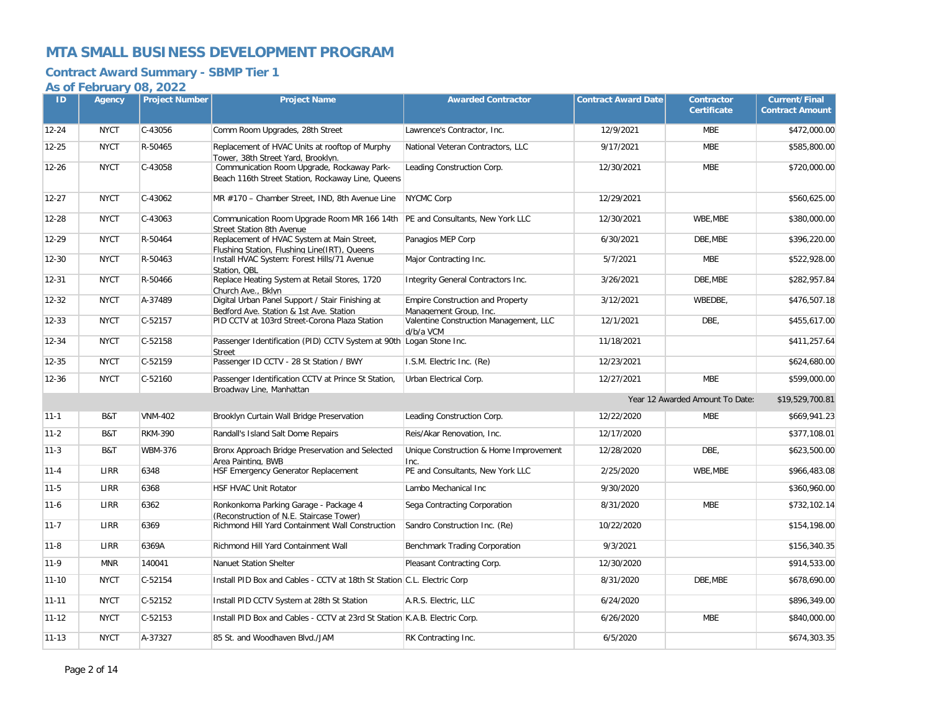### **Contract Award Summary - SBMP Tier 1**

| ID        | Agency      | <b>Project Number</b> | <b>Project Name</b>                                                                                                | <b>Awarded Contractor</b>                                         | <b>Contract Award Date</b> | <b>Contractor</b><br><b>Certificate</b> | <b>Current/Final</b><br><b>Contract Amount</b> |
|-----------|-------------|-----------------------|--------------------------------------------------------------------------------------------------------------------|-------------------------------------------------------------------|----------------------------|-----------------------------------------|------------------------------------------------|
| $12 - 24$ | <b>NYCT</b> | C-43056               | Comm Room Upgrades, 28th Street                                                                                    | Lawrence's Contractor, Inc.                                       | 12/9/2021                  | <b>MBE</b>                              | \$472,000.00                                   |
| $12 - 25$ | <b>NYCT</b> | R-50465               | Replacement of HVAC Units at rooftop of Murphy<br>Tower, 38th Street Yard, Brooklyn.                               | National Veteran Contractors, LLC                                 | 9/17/2021                  | <b>MBE</b>                              | \$585,800.00                                   |
| $12 - 26$ | <b>NYCT</b> | C-43058               | Communication Room Upgrade, Rockaway Park-<br>Beach 116th Street Station, Rockaway Line, Queens                    | Leading Construction Corp.                                        | 12/30/2021                 | <b>MBE</b>                              | \$720,000.00                                   |
| $12 - 27$ | <b>NYCT</b> | C-43062               | MR #170 - Chamber Street, IND, 8th Avenue Line                                                                     | <b>NYCMC Corp</b>                                                 | 12/29/2021                 |                                         | \$560,625.00                                   |
| 12-28     | <b>NYCT</b> | C-43063               | Communication Room Upgrade Room MR 166 14th   PE and Consultants, New York LLC<br><b>Street Station 8th Avenue</b> |                                                                   | 12/30/2021                 | WBE, MBE                                | \$380,000.00                                   |
| 12-29     | <b>NYCT</b> | R-50464               | Replacement of HVAC System at Main Street,<br>Flushing Station. Flushing Line(IRT). Queens                         | Panagios MEP Corp                                                 | 6/30/2021                  | DBE, MBE                                | \$396,220.00                                   |
| $12 - 30$ | <b>NYCT</b> | R-50463               | Install HVAC System: Forest Hills/71 Avenue<br>Station, OBL                                                        | Major Contracting Inc.                                            | 5/7/2021                   | <b>MBE</b>                              | \$522,928.00                                   |
| 12-31     | <b>NYCT</b> | R-50466               | Replace Heating System at Retail Stores, 1720<br>Church Ave., Bklvn                                                | Integrity General Contractors Inc.                                | 3/26/2021                  | DBE, MBE                                | \$282,957.84                                   |
| $12 - 32$ | <b>NYCT</b> | A-37489               | Digital Urban Panel Support / Stair Finishing at<br>Bedford Ave. Station & 1st Ave. Station                        | <b>Empire Construction and Property</b><br>Management Group. Inc. | 3/12/2021                  | WBEDBE,                                 | \$476,507.18                                   |
| $12 - 33$ | <b>NYCT</b> | $C-52157$             | PID CCTV at 103rd Street-Corona Plaza Station                                                                      | Valentine Construction Management, LLC<br>d/b/a VCM               | 12/1/2021                  | DBE.                                    | \$455,617.00                                   |
| 12-34     | <b>NYCT</b> | $C-52158$             | Passenger Identification (PID) CCTV System at 90th Logan Stone Inc.<br><b>Street</b>                               |                                                                   | 11/18/2021                 |                                         | \$411,257.64                                   |
| $12 - 35$ | <b>NYCT</b> | C-52159               | Passenger ID CCTV - 28 St Station / BWY                                                                            | I.S.M. Electric Inc. (Re)                                         | 12/23/2021                 |                                         | \$624,680.00                                   |
| $12 - 36$ | <b>NYCT</b> | $C-52160$             | Passenger Identification CCTV at Prince St Station,<br>Broadway Line, Manhattan                                    | Urban Electrical Corp.                                            | 12/27/2021                 | <b>MBE</b>                              | \$599,000.00                                   |
|           |             |                       |                                                                                                                    |                                                                   |                            | Year 12 Awarded Amount To Date:         | \$19,529,700.81                                |
| $11 - 1$  | B&T         | <b>VNM-402</b>        | Brooklyn Curtain Wall Bridge Preservation                                                                          | Leading Construction Corp.                                        | 12/22/2020                 | <b>MBE</b>                              | \$669,941.23                                   |
| $11 - 2$  | B&T         | <b>RKM-390</b>        | Randall's Island Salt Dome Repairs                                                                                 | Reis/Akar Renovation, Inc.                                        | 12/17/2020                 |                                         | \$377,108.01                                   |
| $11-3$    | B&T         | <b>WBM-376</b>        | Bronx Approach Bridge Preservation and Selected<br>Area Painting. BWB                                              | Unique Construction & Home Improvement<br>Inc.                    | 12/28/2020                 | DBE,                                    | \$623,500.00                                   |
| $11 - 4$  | <b>LIRR</b> | 6348                  | <b>HSF Emergency Generator Replacement</b>                                                                         | PE and Consultants, New York LLC                                  | 2/25/2020                  | WBE.MBE                                 | \$966,483.08                                   |
| $11 - 5$  | <b>LIRR</b> | 6368                  | <b>HSF HVAC Unit Rotator</b>                                                                                       | Lambo Mechanical Inc                                              | 9/30/2020                  |                                         | \$360,960.00                                   |
| $11 - 6$  | LIRR        | 6362                  | Ronkonkoma Parking Garage - Package 4<br>(Reconstruction of N.E. Staircase Tower)                                  | Sega Contracting Corporation                                      | 8/31/2020                  | <b>MBE</b>                              | \$732.102.14                                   |
| $11 - 7$  | LIRR        | 6369                  | Richmond Hill Yard Containment Wall Construction                                                                   | Sandro Construction Inc. (Re)                                     | 10/22/2020                 |                                         | \$154,198.00                                   |
| $11 - 8$  | <b>LIRR</b> | 6369A                 | Richmond Hill Yard Containment Wall                                                                                | Benchmark Trading Corporation                                     | 9/3/2021                   |                                         | \$156.340.35                                   |
| $11-9$    | <b>MNR</b>  | 140041                | Nanuet Station Shelter                                                                                             | Pleasant Contracting Corp.                                        | 12/30/2020                 |                                         | \$914,533.00                                   |
| $11 - 10$ | <b>NYCT</b> | $C-52154$             | Install PID Box and Cables - CCTV at 18th St Station C.L. Electric Corp                                            |                                                                   | 8/31/2020                  | DBE, MBE                                | \$678,690.00                                   |
| $11 - 11$ | <b>NYCT</b> | $C-52152$             | Install PID CCTV System at 28th St Station                                                                         | A.R.S. Electric, LLC                                              | 6/24/2020                  |                                         | \$896,349.00                                   |
| $11 - 12$ | <b>NYCT</b> | $C-52153$             | Install PID Box and Cables - CCTV at 23rd St Station K.A.B. Electric Corp.                                         |                                                                   | 6/26/2020                  | <b>MBE</b>                              | \$840,000.00                                   |
| $11 - 13$ | <b>NYCT</b> | A-37327               | 85 St. and Woodhaven Blvd./JAM                                                                                     | RK Contracting Inc.                                               | 6/5/2020                   |                                         | \$674,303.35                                   |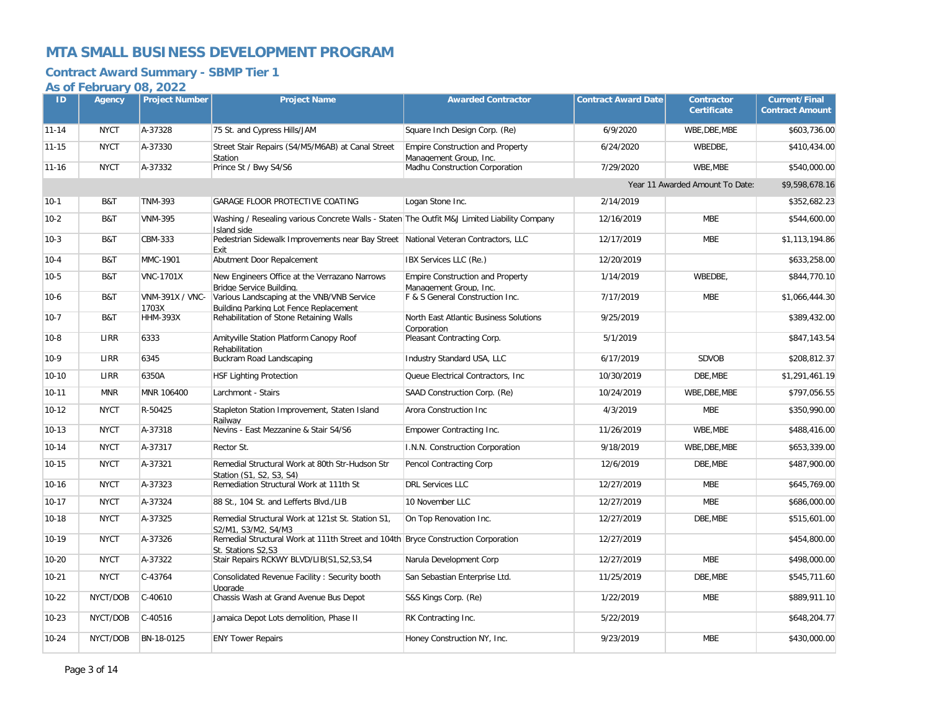### **Contract Award Summary - SBMP Tier 1**

| ID        | Agency      | <b>Project Number</b>    | <b>Project Name</b>                                                                                         | <b>Awarded Contractor</b>                                         | <b>Contract Award Date</b> | <b>Contractor</b><br><b>Certificate</b> | <b>Current/Final</b><br><b>Contract Amount</b> |
|-----------|-------------|--------------------------|-------------------------------------------------------------------------------------------------------------|-------------------------------------------------------------------|----------------------------|-----------------------------------------|------------------------------------------------|
| $11 - 14$ | <b>NYCT</b> | A-37328                  | 75 St. and Cypress Hills/JAM                                                                                | Square Inch Design Corp. (Re)                                     | 6/9/2020                   | WBE, DBE, MBE                           | \$603,736.00                                   |
| $11 - 15$ | <b>NYCT</b> | A-37330                  | Street Stair Repairs (S4/M5/M6AB) at Canal Street<br>Station                                                | <b>Empire Construction and Property</b><br>Management Group, Inc. | 6/24/2020                  | WBEDBE,                                 | \$410,434.00                                   |
| $11 - 16$ | <b>NYCT</b> | A-37332                  | Prince St / Bwy S4/S6                                                                                       | Madhu Construction Corporation                                    | 7/29/2020                  | WBE, MBE                                | \$540,000.00                                   |
|           |             |                          |                                                                                                             |                                                                   |                            | Year 11 Awarded Amount To Date:         | \$9,598,678.16                                 |
| $10-1$    | B&T         | <b>TNM-393</b>           | GARAGE FLOOR PROTECTIVE COATING                                                                             | Logan Stone Inc.                                                  | 2/14/2019                  |                                         | \$352,682.23                                   |
| $10-2$    | B&T         | <b>VNM-395</b>           | Washing / Resealing various Concrete Walls - Staten The Outfit M&J Limited Liability Company<br>Island side |                                                                   | 12/16/2019                 | <b>MBE</b>                              | \$544,600.00                                   |
| $10-3$    | B&T         | CBM-333                  | Pedestrian Sidewalk Improvements near Bay Street National Veteran Contractors, LLC<br>Exit                  |                                                                   | 12/17/2019                 | <b>MBE</b>                              | \$1,113,194.86                                 |
| $10-4$    | B&T         | MMC-1901                 | Abutment Door Repalcement                                                                                   | IBX Services LLC (Re.)                                            | 12/20/2019                 |                                         | \$633.258.00                                   |
| $10-5$    | B&T         | <b>VNC-1701X</b>         | New Engineers Office at the Verrazano Narrows<br>Bridge Service Building.                                   | <b>Empire Construction and Property</b><br>Management Group. Inc. | 1/14/2019                  | WBEDBE,                                 | \$844,770.10                                   |
| $10-6$    | B&T         | <b>VNM-391X / VNC-</b>   | Various Landscaping at the VNB/VNB Service                                                                  | F & S General Construction Inc.                                   | 7/17/2019                  | <b>MBE</b>                              | \$1,066,444.30                                 |
| $10-7$    | B&T         | 1703X<br><b>HHM-393X</b> | Buildina Parkina Lot Fence Replacement<br>Rehabilitation of Stone Retaining Walls                           | North East Atlantic Business Solutions<br>Corporation             | 9/25/2019                  |                                         | \$389,432.00                                   |
| $10-8$    | <b>LIRR</b> | 6333                     | Amityville Station Platform Canopy Roof<br>Rehabilitation                                                   | Pleasant Contracting Corp.                                        | 5/1/2019                   |                                         | \$847,143.54                                   |
| $10-9$    | LIRR        | 6345                     | Buckram Road Landscaping                                                                                    | Industry Standard USA, LLC                                        | 6/17/2019                  | <b>SDVOB</b>                            | \$208,812.37                                   |
| $10-10$   | <b>LIRR</b> | 6350A                    | <b>HSF Lighting Protection</b>                                                                              | Queue Electrical Contractors, Inc.                                | 10/30/2019                 | DBE.MBE                                 | \$1,291,461.19                                 |
| $10 - 11$ | <b>MNR</b>  | MNR 106400               | Larchmont - Stairs                                                                                          | SAAD Construction Corp. (Re)                                      | 10/24/2019                 | WBE, DBE, MBE                           | \$797,056.55                                   |
| $10-12$   | <b>NYCT</b> | R-50425                  | Stapleton Station Improvement, Staten Island<br>Railwav                                                     | Arora Construction Inc                                            | 4/3/2019                   | <b>MBE</b>                              | \$350,990.00                                   |
| $10 - 13$ | <b>NYCT</b> | A-37318                  | Nevins - East Mezzanine & Stair S4/S6                                                                       | Empower Contracting Inc.                                          | 11/26/2019                 | WBE, MBE                                | \$488,416.00                                   |
| $10 - 14$ | <b>NYCT</b> | A-37317                  | Rector St.                                                                                                  | I.N.N. Construction Corporation                                   | 9/18/2019                  | WBE, DBE, MBE                           | \$653,339.00                                   |
| $10 - 15$ | <b>NYCT</b> | A-37321                  | Remedial Structural Work at 80th Str-Hudson Str<br>Station (S1. S2. S3. S4)                                 | Pencol Contracting Corp                                           | 12/6/2019                  | DBE, MBE                                | \$487,900.00                                   |
| $10 - 16$ | <b>NYCT</b> | A-37323                  | Remediation Structural Work at 111th St                                                                     | <b>DRL Services LLC</b>                                           | 12/27/2019                 | <b>MBE</b>                              | \$645,769.00                                   |
| $10 - 17$ | <b>NYCT</b> | A-37324                  | 88 St., 104 St. and Lefferts Blvd./LIB                                                                      | 10 November LLC                                                   | 12/27/2019                 | <b>MBE</b>                              | \$686,000.00                                   |
| $10 - 18$ | <b>NYCT</b> | A-37325                  | Remedial Structural Work at 121st St. Station S1,<br>S2/M1. S3/M2. S4/M3                                    | On Top Renovation Inc.                                            | 12/27/2019                 | DBE, MBE                                | \$515,601.00                                   |
| 10-19     | <b>NYCT</b> | A-37326                  | Remedial Structural Work at 111th Street and 104th Bryce Construction Corporation<br>St. Stations S2.S3     |                                                                   | 12/27/2019                 |                                         | \$454,800.00                                   |
| $10 - 20$ | <b>NYCT</b> | A-37322                  | Stair Repairs RCKWY BLVD/LIB(S1,S2,S3,S4                                                                    | Narula Development Corp                                           | 12/27/2019                 | <b>MBE</b>                              | \$498,000.00                                   |
| $10 - 21$ | <b>NYCT</b> | $C-43764$                | Consolidated Revenue Facility: Security booth<br>Upgrade                                                    | San Sebastian Enterprise Ltd.                                     | 11/25/2019                 | DBE, MBE                                | \$545,711.60                                   |
| $10-22$   | NYCT/DOB    | $C-40610$                | Chassis Wash at Grand Avenue Bus Depot                                                                      | S&S Kings Corp. (Re)                                              | 1/22/2019                  | <b>MBE</b>                              | \$889,911.10                                   |
| $10 - 23$ | NYCT/DOB    | C-40516                  | Jamaica Depot Lots demolition, Phase II                                                                     | RK Contracting Inc.                                               | 5/22/2019                  |                                         | \$648,204.77                                   |
| $10 - 24$ | NYCT/DOB    | BN-18-0125               | <b>ENY Tower Repairs</b>                                                                                    | Honey Construction NY, Inc.                                       | 9/23/2019                  | <b>MBE</b>                              | \$430,000.00                                   |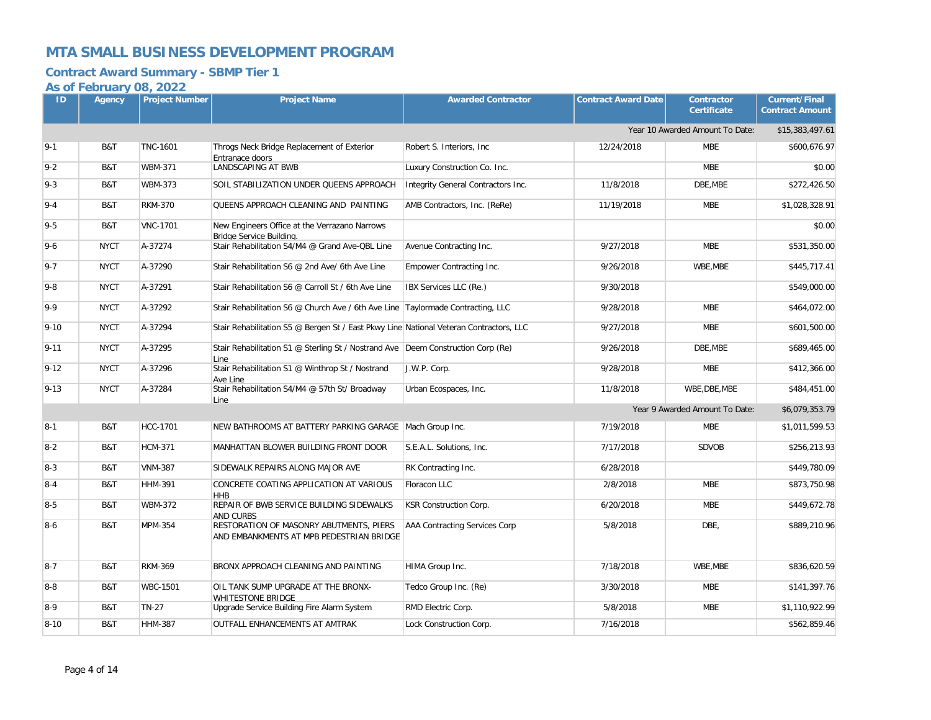### **Contract Award Summary - SBMP Tier 1**

| ID       | Agency      | <b>Project Number</b> | <b>Project Name</b>                                                                      | <b>Awarded Contractor</b>          | <b>Contract Award Date</b> | <b>Contractor</b><br><b>Certificate</b> | <b>Current/Final</b><br><b>Contract Amount</b> |
|----------|-------------|-----------------------|------------------------------------------------------------------------------------------|------------------------------------|----------------------------|-----------------------------------------|------------------------------------------------|
|          |             |                       |                                                                                          |                                    |                            | Year 10 Awarded Amount To Date:         | \$15,383,497.61                                |
| $9 - 1$  | B&T         | <b>TNC-1601</b>       | Throgs Neck Bridge Replacement of Exterior<br>Entranace doors                            | Robert S. Interiors, Inc.          | 12/24/2018                 | <b>MBE</b>                              | \$600.676.97                                   |
| $9 - 2$  | B&T         | <b>WBM-371</b>        | <b>LANDSCAPING AT BWB</b>                                                                | Luxury Construction Co. Inc.       |                            | <b>MBE</b>                              | \$0.00                                         |
| $9 - 3$  | B&T         | <b>WBM-373</b>        | SOIL STABILIZATION UNDER QUEENS APPROACH                                                 | Integrity General Contractors Inc. | 11/8/2018                  | DBE, MBE                                | \$272,426.50                                   |
| $9 - 4$  | B&T         | <b>RKM-370</b>        | QUEENS APPROACH CLEANING AND PAINTING                                                    | AMB Contractors, Inc. (ReRe)       | 11/19/2018                 | <b>MBE</b>                              | \$1,028,328.91                                 |
| $9 - 5$  | B&T         | <b>VNC-1701</b>       | New Engineers Office at the Verrazano Narrows<br>Bridae Service Buildina.                |                                    |                            |                                         | \$0.00                                         |
| $9 - 6$  | <b>NYCT</b> | A-37274               | Stair Rehabilitation S4/M4 @ Grand Ave-QBL Line                                          | Avenue Contracting Inc.            | 9/27/2018                  | <b>MBE</b>                              | \$531,350.00                                   |
| $9 - 7$  | <b>NYCT</b> | A-37290               | Stair Rehabilitation S6 @ 2nd Ave/ 6th Ave Line                                          | Empower Contracting Inc.           | 9/26/2018                  | WBE, MBE                                | \$445,717.41                                   |
| $9 - 8$  | <b>NYCT</b> | A-37291               | Stair Rehabilitation S6 @ Carroll St / 6th Ave Line                                      | IBX Services LLC (Re.)             | 9/30/2018                  |                                         | \$549,000.00                                   |
| $9 - 9$  | <b>NYCT</b> | A-37292               | Stair Rehabilitation S6 @ Church Ave / 6th Ave Line Taylormade Contracting, LLC          |                                    | 9/28/2018                  | <b>MBE</b>                              | \$464,072.00                                   |
| $9 - 10$ | <b>NYCT</b> | A-37294               | Stair Rehabilitation S5 @ Bergen St / East Pkwy Line National Veteran Contractors, LLC   |                                    | 9/27/2018                  | <b>MBE</b>                              | \$601,500.00                                   |
| $9 - 11$ | <b>NYCT</b> | A-37295               | Stair Rehabilitation S1 @ Sterling St / Nostrand Ave Deem Construction Corp (Re)<br>Line |                                    | 9/26/2018                  | DBE, MBE                                | \$689,465.00                                   |
| $9 - 12$ | <b>NYCT</b> | A-37296               | Stair Rehabilitation S1 @ Winthrop St / Nostrand<br>Ave Line                             | J.W.P. Corp.                       | 9/28/2018                  | <b>MBE</b>                              | \$412,366.00                                   |
| $9 - 13$ | <b>NYCT</b> | A-37284               | Stair Rehabilitation S4/M4 @ 57th St/ Broadway<br>Line                                   | Urban Ecospaces, Inc.              | 11/8/2018                  | WBE, DBE, MBE                           | \$484,451.00                                   |
|          |             |                       |                                                                                          |                                    |                            | Year 9 Awarded Amount To Date:          | \$6,079,353.79                                 |
| $8-1$    | B&T         | <b>HCC-1701</b>       | NEW BATHROOMS AT BATTERY PARKING GARAGE   Mach Group Inc.                                |                                    | 7/19/2018                  | <b>MBE</b>                              | \$1,011,599.53                                 |
| $8 - 2$  | B&T         | <b>HCM-371</b>        | MANHATTAN BLOWER BUILDING FRONT DOOR                                                     | S.E.A.L. Solutions, Inc.           | 7/17/2018                  | <b>SDVOB</b>                            | \$256,213.93                                   |
| $8 - 3$  | B&T         | <b>VNM-387</b>        | SIDEWALK REPAIRS ALONG MAJOR AVE                                                         | RK Contracting Inc.                | 6/28/2018                  |                                         | \$449,780.09                                   |
| $8 - 4$  | B&T         | <b>HHM-391</b>        | CONCRETE COATING APPLICATION AT VARIOUS<br><b>HHB</b>                                    | Floracon LLC                       | 2/8/2018                   | <b>MBE</b>                              | \$873,750.98                                   |
| $8-5$    | B&T         | <b>WBM-372</b>        | REPAIR OF BWB SERVICE BUILDING SIDEWALKS<br><b>AND CURBS</b>                             | KSR Construction Corp.             | 6/20/2018                  | <b>MBE</b>                              | \$449,672.78                                   |
| $8-6$    | B&T         | MPM-354               | RESTORATION OF MASONRY ABUTMENTS, PIERS<br>AND EMBANKMENTS AT MPB PEDESTRIAN BRIDGE      | AAA Contracting Services Corp      | 5/8/2018                   | DBE,                                    | \$889,210.96                                   |
| $8 - 7$  | B&T         | <b>RKM-369</b>        | BRONX APPROACH CLEANING AND PAINTING                                                     | HIMA Group Inc.                    | 7/18/2018                  | WBE, MBE                                | \$836,620.59                                   |
| $8-8$    | B&T         | <b>WBC-1501</b>       | OIL TANK SUMP UPGRADE AT THE BRONX-<br><b>WHITESTONE BRIDGE</b>                          | Tedco Group Inc. (Re)              | 3/30/2018                  | <b>MBE</b>                              | \$141,397.76                                   |
| $8-9$    | B&T         | <b>TN-27</b>          | Upgrade Service Building Fire Alarm System                                               | RMD Electric Corp.                 | 5/8/2018                   | <b>MBE</b>                              | \$1,110,922.99                                 |
| $8 - 10$ | B&T         | <b>HHM-387</b>        | <b>OUTFALL ENHANCEMENTS AT AMTRAK</b>                                                    | Lock Construction Corp.            | 7/16/2018                  |                                         | \$562,859.46                                   |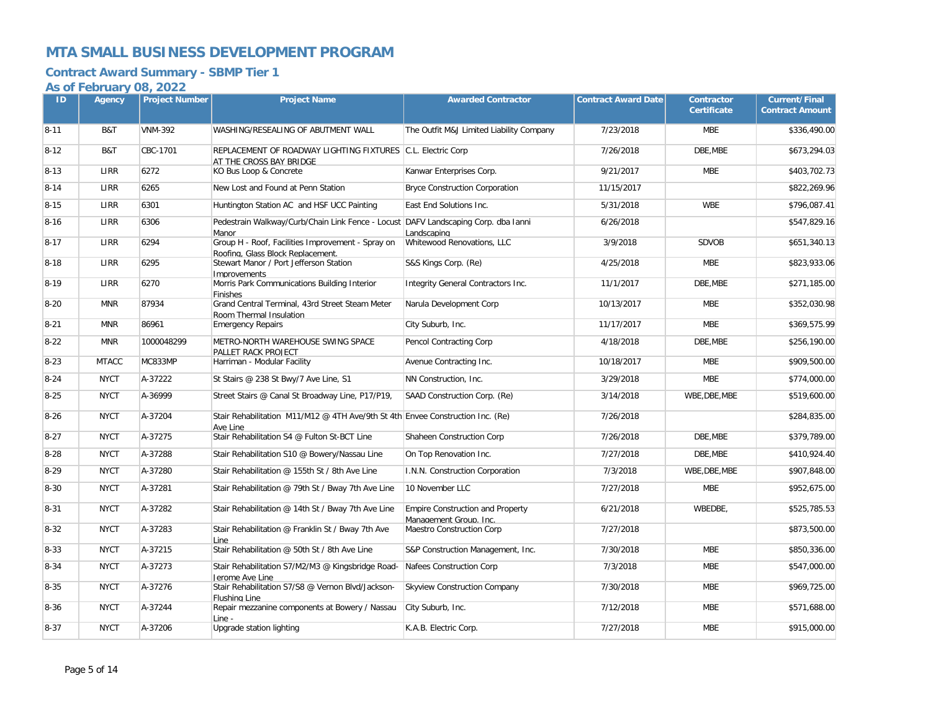### **Contract Award Summary - SBMP Tier 1**

| ID       | Agency       | <b>Project Number</b> | <b>Project Name</b>                                                                         | <b>Awarded Contractor</b>                                         | <b>Contract Award Date</b> | <b>Contractor</b><br><b>Certificate</b> | <b>Current/Final</b><br><b>Contract Amount</b> |
|----------|--------------|-----------------------|---------------------------------------------------------------------------------------------|-------------------------------------------------------------------|----------------------------|-----------------------------------------|------------------------------------------------|
| $8 - 11$ | B&T          | <b>VNM-392</b>        | WASHING/RESEALING OF ABUTMENT WALL                                                          | The Outfit M&J Limited Liability Company                          | 7/23/2018                  | <b>MBE</b>                              | \$336,490.00                                   |
| $8 - 12$ | B&T          | CBC-1701              | REPLACEMENT OF ROADWAY LIGHTING FIXTURES C.L. Electric Corp<br>AT THE CROSS BAY BRIDGE      |                                                                   | 7/26/2018                  | DBE, MBE                                | \$673,294.03                                   |
| $8 - 13$ | <b>LIRR</b>  | 6272                  | KO Bus Loop & Concrete                                                                      | Kanwar Enterprises Corp.                                          | 9/21/2017                  | <b>MBE</b>                              | \$403,702.73                                   |
| $8 - 14$ | LIRR         | 6265                  | New Lost and Found at Penn Station                                                          | <b>Bryce Construction Corporation</b>                             | 11/15/2017                 |                                         | \$822,269.96                                   |
| $8 - 15$ | LIRR         | 6301                  | Huntington Station AC and HSF UCC Painting                                                  | East End Solutions Inc.                                           | 5/31/2018                  | <b>WBE</b>                              | \$796,087.41                                   |
| $8 - 16$ | LIRR         | 6306                  | Pedestrain Walkway/Curb/Chain Link Fence - Locust DAFV Landscaping Corp. dba Ianni<br>Manor | Landscaping                                                       | 6/26/2018                  |                                         | \$547,829.16                                   |
| $8 - 17$ | LIRR         | 6294                  | Group H - Roof, Facilities Improvement - Spray on<br>Roofing, Glass Block Replacement.      | Whitewood Renovations, LLC                                        | 3/9/2018                   | <b>SDVOB</b>                            | \$651,340.13                                   |
| $8 - 18$ | LIRR         | 6295                  | Stewart Manor / Port Jefferson Station<br>Improvements                                      | S&S Kings Corp. (Re)                                              | 4/25/2018                  | <b>MBE</b>                              | \$823,933.06                                   |
| $8 - 19$ | <b>LIRR</b>  | 6270                  | Morris Park Communications Building Interior<br><b>Finishes</b>                             | Integrity General Contractors Inc.                                | 11/1/2017                  | DBE.MBE                                 | \$271,185.00                                   |
| $8 - 20$ | <b>MNR</b>   | 87934                 | Grand Central Terminal, 43rd Street Steam Meter<br>Room Thermal Insulation                  | Narula Development Corp                                           | 10/13/2017                 | <b>MBE</b>                              | \$352,030.98                                   |
| $8 - 21$ | <b>MNR</b>   | 86961                 | <b>Emergency Repairs</b>                                                                    | City Suburb, Inc.                                                 | 11/17/2017                 | <b>MBE</b>                              | \$369,575.99                                   |
| $8 - 22$ | <b>MNR</b>   | 1000048299            | METRO-NORTH WAREHOUSE SWING SPACE<br>PALLET RACK PROJECT                                    | Pencol Contracting Corp                                           | 4/18/2018                  | DBE, MBE                                | \$256,190.00                                   |
| $8 - 23$ | <b>MTACC</b> | MC833MP               | Harriman - Modular Facility                                                                 | Avenue Contracting Inc.                                           | 10/18/2017                 | <b>MBE</b>                              | \$909,500.00                                   |
| $8 - 24$ | <b>NYCT</b>  | A-37222               | St Stairs @ 238 St Bwy/7 Ave Line, S1                                                       | NN Construction, Inc.                                             | 3/29/2018                  | <b>MBE</b>                              | \$774,000.00                                   |
| $8 - 25$ | <b>NYCT</b>  | A-36999               | Street Stairs @ Canal St Broadway Line, P17/P19,                                            | SAAD Construction Corp. (Re)                                      | 3/14/2018                  | WBE, DBE, MBE                           | \$519,600.00                                   |
| $8 - 26$ | <b>NYCT</b>  | A-37204               | Stair Rehabilitation M11/M12 @ 4TH Ave/9th St 4th Envee Construction Inc. (Re)<br>Ave Line  |                                                                   | 7/26/2018                  |                                         | \$284,835.00                                   |
| $8 - 27$ | <b>NYCT</b>  | A-37275               | Stair Rehabilitation S4 @ Fulton St-BCT Line                                                | Shaheen Construction Corp                                         | 7/26/2018                  | DBE.MBE                                 | \$379.789.00                                   |
| $8 - 28$ | <b>NYCT</b>  | A-37288               | Stair Rehabilitation S10 @ Bowery/Nassau Line                                               | On Top Renovation Inc.                                            | 7/27/2018                  | DBE, MBE                                | \$410,924.40                                   |
| $8 - 29$ | <b>NYCT</b>  | A-37280               | Stair Rehabilitation @ 155th St / 8th Ave Line                                              | I.N.N. Construction Corporation                                   | 7/3/2018                   | WBE, DBE, MBE                           | \$907,848.00                                   |
| $8 - 30$ | <b>NYCT</b>  | A-37281               | Stair Rehabilitation @ 79th St / Bway 7th Ave Line                                          | 10 November LLC                                                   | 7/27/2018                  | <b>MBE</b>                              | \$952,675.00                                   |
| $8 - 31$ | <b>NYCT</b>  | A-37282               | Stair Rehabilitation @ 14th St / Bway 7th Ave Line                                          | <b>Empire Construction and Property</b><br>Management Group. Inc. | 6/21/2018                  | WBEDBE,                                 | \$525,785.53                                   |
| $8 - 32$ | <b>NYCT</b>  | A-37283               | Stair Rehabilitation @ Franklin St / Bway 7th Ave<br>Line                                   | Maestro Construction Corp                                         | 7/27/2018                  |                                         | \$873,500.00                                   |
| $8 - 33$ | <b>NYCT</b>  | A-37215               | Stair Rehabilitation @ 50th St / 8th Ave Line                                               | S&P Construction Management, Inc.                                 | 7/30/2018                  | <b>MBE</b>                              | \$850,336.00                                   |
| $8 - 34$ | <b>NYCT</b>  | A-37273               | Stair Rehabilitation S7/M2/M3 @ Kingsbridge Road-<br>Jerome Ave Line                        | Nafees Construction Corp                                          | 7/3/2018                   | <b>MBE</b>                              | \$547,000.00                                   |
| $8 - 35$ | <b>NYCT</b>  | A-37276               | Stair Rehabilitation S7/S8 @ Vernon Blvd/Jackson-<br>Flushing Line                          | <b>Skyview Construction Company</b>                               | 7/30/2018                  | <b>MBE</b>                              | \$969,725.00                                   |
| $8 - 36$ | <b>NYCT</b>  | A-37244               | Repair mezzanine components at Bowery / Nassau<br>Line -                                    | City Suburb, Inc.                                                 | 7/12/2018                  | <b>MBE</b>                              | \$571,688.00                                   |
| $8 - 37$ | <b>NYCT</b>  | A-37206               | Upgrade station lighting                                                                    | K.A.B. Electric Corp.                                             | 7/27/2018                  | <b>MBE</b>                              | \$915,000.00                                   |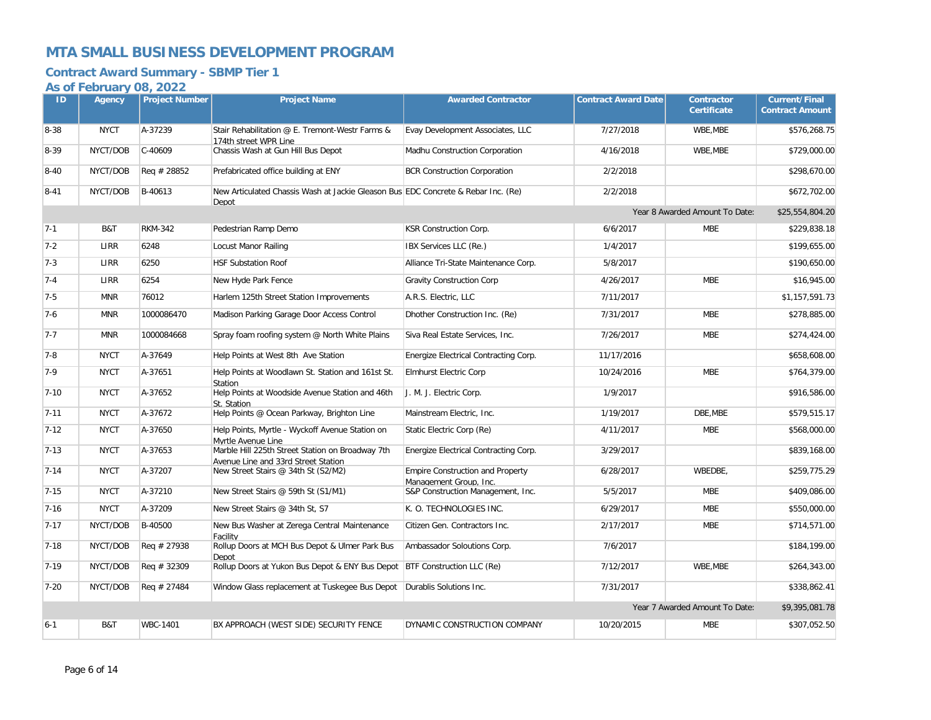### **Contract Award Summary - SBMP Tier 1**

| ID       | $\sim$ $\sim$ $\sim$ $\sim$ $\sim$<br>Agency | $\sim$ $\sim$ $\sim$ $\sim$ $\sim$ $\sim$<br><b>Project Number</b> | <b>Project Name</b>                                                                        | <b>Awarded Contractor</b>                                         | <b>Contract Award Date</b> | Contractor<br><b>Certificate</b> | <b>Current/Final</b><br><b>Contract Amount</b> |
|----------|----------------------------------------------|--------------------------------------------------------------------|--------------------------------------------------------------------------------------------|-------------------------------------------------------------------|----------------------------|----------------------------------|------------------------------------------------|
|          |                                              |                                                                    |                                                                                            |                                                                   |                            |                                  |                                                |
| $8 - 38$ | <b>NYCT</b>                                  | A-37239                                                            | Stair Rehabilitation @ E. Tremont-Westr Farms &<br>174th street WPR Line                   | Evay Development Associates, LLC                                  | 7/27/2018                  | WBE, MBE                         | \$576,268.75                                   |
| 8-39     | NYCT/DOB                                     | C-40609                                                            | Chassis Wash at Gun Hill Bus Depot                                                         | Madhu Construction Corporation                                    | 4/16/2018                  | WBE, MBE                         | \$729,000.00                                   |
| $8 - 40$ | NYCT/DOB                                     | Req # 28852                                                        | Prefabricated office building at ENY                                                       | <b>BCR Construction Corporation</b>                               | 2/2/2018                   |                                  | \$298,670.00                                   |
| $8 - 41$ | NYCT/DOB                                     | B-40613                                                            | New Articulated Chassis Wash at Jackie Gleason Bus EDC Concrete & Rebar Inc. (Re)<br>Depot |                                                                   | 2/2/2018                   |                                  | \$672,702.00                                   |
|          |                                              |                                                                    |                                                                                            |                                                                   |                            | Year 8 Awarded Amount To Date:   | \$25,554,804.20                                |
| $7 - 1$  | B&T                                          | <b>RKM-342</b>                                                     | Pedestrian Ramp Demo                                                                       | <b>KSR Construction Corp.</b>                                     | 6/6/2017                   | <b>MBE</b>                       | \$229,838.18                                   |
| $7 - 2$  | LIRR                                         | 6248                                                               | Locust Manor Railing                                                                       | IBX Services LLC (Re.)                                            | 1/4/2017                   |                                  | \$199,655.00                                   |
| $7 - 3$  | LIRR                                         | 6250                                                               | <b>HSF Substation Roof</b>                                                                 | Alliance Tri-State Maintenance Corp.                              | 5/8/2017                   |                                  | \$190,650.00                                   |
| $7 - 4$  | LIRR                                         | 6254                                                               | New Hyde Park Fence                                                                        | <b>Gravity Construction Corp</b>                                  | 4/26/2017                  | <b>MBE</b>                       | \$16,945.00                                    |
| $7 - 5$  | <b>MNR</b>                                   | 76012                                                              | Harlem 125th Street Station Improvements                                                   | A.R.S. Electric, LLC                                              | 7/11/2017                  |                                  | \$1,157,591.73                                 |
| $7-6$    | <b>MNR</b>                                   | 1000086470                                                         | Madison Parking Garage Door Access Control                                                 | Dhother Construction Inc. (Re)                                    | 7/31/2017                  | <b>MBE</b>                       | \$278,885.00                                   |
| $7 - 7$  | <b>MNR</b>                                   | 1000084668                                                         | Spray foam roofing system @ North White Plains                                             | Siva Real Estate Services, Inc.                                   | 7/26/2017                  | <b>MBE</b>                       | \$274,424.00                                   |
| $7-8$    | <b>NYCT</b>                                  | A-37649                                                            | Help Points at West 8th Ave Station                                                        | Energize Electrical Contracting Corp.                             | 11/17/2016                 |                                  | \$658,608.00                                   |
| $7-9$    | <b>NYCT</b>                                  | A-37651                                                            | Help Points at Woodlawn St. Station and 161st St.<br>Station                               | <b>Elmhurst Electric Corp</b>                                     | 10/24/2016                 | <b>MBE</b>                       | \$764,379.00                                   |
| $7 - 10$ | <b>NYCT</b>                                  | A-37652                                                            | Help Points at Woodside Avenue Station and 46th<br>St. Station                             | J. M. J. Electric Corp.                                           | 1/9/2017                   |                                  | \$916,586.00                                   |
| $7 - 11$ | <b>NYCT</b>                                  | A-37672                                                            | Help Points @ Ocean Parkway, Brighton Line                                                 | Mainstream Electric, Inc.                                         | 1/19/2017                  | DBE, MBE                         | \$579,515.17                                   |
| $7 - 12$ | <b>NYCT</b>                                  | A-37650                                                            | Help Points, Myrtle - Wyckoff Avenue Station on<br>Mvrtle Avenue Line                      | Static Electric Corp (Re)                                         | 4/11/2017                  | <b>MBE</b>                       | \$568,000.00                                   |
| $7 - 13$ | <b>NYCT</b>                                  | A-37653                                                            | Marble Hill 225th Street Station on Broadway 7th<br>Avenue Line and 33rd Street Station    | Energize Electrical Contracting Corp.                             | 3/29/2017                  |                                  | \$839,168.00                                   |
| $7 - 14$ | <b>NYCT</b>                                  | A-37207                                                            | New Street Stairs @ 34th St (S2/M2)                                                        | <b>Empire Construction and Property</b><br>Management Group, Inc. | 6/28/2017                  | WBEDBE,                          | \$259,775.29                                   |
| $7 - 15$ | <b>NYCT</b>                                  | A-37210                                                            | New Street Stairs @ 59th St (S1/M1)                                                        | S&P Construction Management, Inc.                                 | 5/5/2017                   | <b>MBE</b>                       | \$409,086.00                                   |
| $7 - 16$ | <b>NYCT</b>                                  | A-37209                                                            | New Street Stairs @ 34th St, S7                                                            | K. O. TECHNOLOGIES INC.                                           | 6/29/2017                  | <b>MBE</b>                       | \$550,000.00                                   |
| $7 - 17$ | NYCT/DOB                                     | B-40500                                                            | New Bus Washer at Zerega Central Maintenance<br>Facility                                   | Citizen Gen. Contractors Inc.                                     | 2/17/2017                  | <b>MBE</b>                       | \$714,571.00                                   |
| $7 - 18$ | NYCT/DOB                                     | Req # 27938                                                        | Rollup Doors at MCH Bus Depot & Ulmer Park Bus<br>Depot                                    | Ambassador Soloutions Corp.                                       | 7/6/2017                   |                                  | \$184,199.00                                   |
| $7 - 19$ | NYCT/DOB                                     | Req # 32309                                                        | Rollup Doors at Yukon Bus Depot & ENY Bus Depot   BTF Construction LLC (Re)                |                                                                   | 7/12/2017                  | WBE, MBE                         | \$264,343.00                                   |
| $7 - 20$ | NYCT/DOB                                     | Req # 27484                                                        | Window Glass replacement at Tuskegee Bus Depot                                             | Durablis Solutions Inc.                                           | 7/31/2017                  |                                  | \$338,862.41                                   |
|          |                                              |                                                                    |                                                                                            |                                                                   |                            | Year 7 Awarded Amount To Date:   | \$9,395,081.78                                 |
| $6 - 1$  | B&T                                          | <b>WBC-1401</b>                                                    | BX APPROACH (WEST SIDE) SECURITY FENCE                                                     | DYNAMIC CONSTRUCTION COMPANY                                      | 10/20/2015                 | <b>MBE</b>                       | \$307,052.50                                   |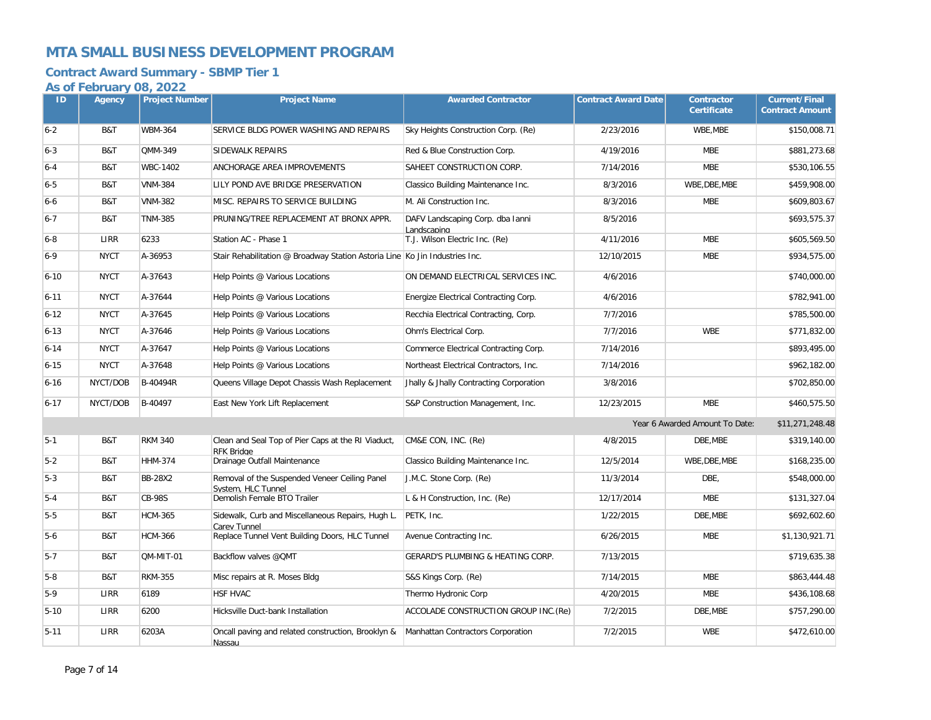### **Contract Award Summary - SBMP Tier 1**

| ID       | <b>Agency</b> | <b>Project Number</b> | <b>Project Name</b>                                                         | <b>Awarded Contractor</b>                       | <b>Contract Award Date</b> | Contractor<br><b>Certificate</b> | <b>Current/Final</b><br><b>Contract Amount</b> |
|----------|---------------|-----------------------|-----------------------------------------------------------------------------|-------------------------------------------------|----------------------------|----------------------------------|------------------------------------------------|
| $6-2$    | B&T           | <b>WBM-364</b>        | SERVICE BLDG POWER WASHING AND REPAIRS                                      | Sky Heights Construction Corp. (Re)             | 2/23/2016                  | WBE.MBE                          | \$150,008.71                                   |
| $6 - 3$  | B&T           | QMM-349               | SIDEWALK REPAIRS                                                            | Red & Blue Construction Corp.                   | 4/19/2016                  | <b>MBE</b>                       | \$881,273.68                                   |
| $6-4$    | B&T           | WBC-1402              | ANCHORAGE AREA IMPROVEMENTS                                                 | SAHEET CONSTRUCTION CORP.                       | 7/14/2016                  | <b>MBE</b>                       | \$530,106.55                                   |
| $6 - 5$  | B&T           | <b>VNM-384</b>        | LILY POND AVE BRIDGE PRESERVATION                                           | Classico Building Maintenance Inc.              | 8/3/2016                   | WBE, DBE, MBE                    | \$459,908.00                                   |
| $6-6$    | B&T           | <b>VNM-382</b>        | MISC. REPAIRS TO SERVICE BUILDING                                           | M. Ali Construction Inc.                        | 8/3/2016                   | <b>MBE</b>                       | \$609,803.67                                   |
| $6 - 7$  | B&T           | <b>TNM-385</b>        | PRUNING/TREE REPLACEMENT AT BRONX APPR.                                     | DAFV Landscaping Corp. dba Ianni<br>Landscaping | 8/5/2016                   |                                  | \$693,575.37                                   |
| $6-8$    | LIRR          | 6233                  | Station AC - Phase 1                                                        | T.J. Wilson Electric Inc. (Re)                  | 4/11/2016                  | <b>MBE</b>                       | \$605,569.50                                   |
| $6 - 9$  | <b>NYCT</b>   | A-36953               | Stair Rehabilitation @ Broadway Station Astoria Line Ko Jin Industries Inc. |                                                 | 12/10/2015                 | <b>MBE</b>                       | \$934,575.00                                   |
| $6 - 10$ | <b>NYCT</b>   | A-37643               | Help Points @ Various Locations                                             | ON DEMAND ELECTRICAL SERVICES INC.              | 4/6/2016                   |                                  | \$740,000.00                                   |
| $6 - 11$ | <b>NYCT</b>   | A-37644               | Help Points @ Various Locations                                             | Energize Electrical Contracting Corp.           | 4/6/2016                   |                                  | \$782,941.00                                   |
| $6 - 12$ | <b>NYCT</b>   | A-37645               | Help Points @ Various Locations                                             | Recchia Electrical Contracting, Corp.           | 7/7/2016                   |                                  | \$785,500.00                                   |
| $6 - 13$ | <b>NYCT</b>   | A-37646               | Help Points @ Various Locations                                             | Ohm's Electrical Corp.                          | 7/7/2016                   | <b>WBE</b>                       | \$771,832.00                                   |
| $6 - 14$ | <b>NYCT</b>   | A-37647               | Help Points @ Various Locations                                             | Commerce Electrical Contracting Corp.           | 7/14/2016                  |                                  | \$893,495.00                                   |
| $6 - 15$ | <b>NYCT</b>   | A-37648               | Help Points @ Various Locations                                             | Northeast Electrical Contractors, Inc.          | 7/14/2016                  |                                  | \$962,182.00                                   |
| $6 - 16$ | NYCT/DOB      | B-40494R              | Queens Village Depot Chassis Wash Replacement                               | Jhally & Jhally Contracting Corporation         | 3/8/2016                   |                                  | \$702,850.00                                   |
| $6 - 17$ | NYCT/DOB      | B-40497               | East New York Lift Replacement                                              | S&P Construction Management, Inc.               | 12/23/2015                 | <b>MBE</b>                       | \$460,575.50                                   |
|          |               |                       |                                                                             |                                                 |                            | Year 6 Awarded Amount To Date:   | \$11,271,248.48                                |
| $5 - 1$  | B&T           | <b>RKM 340</b>        | Clean and Seal Top of Pier Caps at the RI Viaduct,<br><b>RFK Bridae</b>     | CM&E CON, INC. (Re)                             | 4/8/2015                   | DBE, MBE                         | \$319,140.00                                   |
| $5-2$    | B&T           | <b>HHM-374</b>        | Drainage Outfall Maintenance                                                | Classico Building Maintenance Inc.              | 12/5/2014                  | WBE, DBE, MBE                    | \$168,235.00                                   |
| $5-3$    | B&T           | <b>BB-28X2</b>        | Removal of the Suspended Veneer Ceiling Panel<br>System. HLC Tunnel         | J.M.C. Stone Corp. (Re)                         | 11/3/2014                  | DBE,                             | \$548,000.00                                   |
| $5 - 4$  | B&T           | <b>CB-98S</b>         | Demolish Female BTO Trailer                                                 | L & H Construction, Inc. (Re)                   | 12/17/2014                 | <b>MBE</b>                       | \$131,327.04                                   |
| $5-5$    | B&T           | <b>HCM-365</b>        | Sidewalk, Curb and Miscellaneous Repairs, Hugh L.<br>Carev Tunnel           | PETK, Inc.                                      | 1/22/2015                  | DBE, MBE                         | \$692,602.60                                   |
| $5-6$    | B&T           | <b>HCM-366</b>        | Replace Tunnel Vent Building Doors, HLC Tunnel                              | Avenue Contracting Inc.                         | 6/26/2015                  | <b>MBE</b>                       | \$1,130,921.71                                 |
| $5 - 7$  | B&T           | QM-MIT-01             | Backflow valves @QMT                                                        | GERARD'S PLUMBING & HEATING CORP.               | 7/13/2015                  |                                  | \$719,635.38                                   |
| $5-8$    | B&T           | <b>RKM-355</b>        | Misc repairs at R. Moses Bldg                                               | S&S Kings Corp. (Re)                            | 7/14/2015                  | <b>MBE</b>                       | \$863,444.48                                   |
| $5-9$    | LIRR          | 6189                  | <b>HSF HVAC</b>                                                             | Thermo Hydronic Corp                            | 4/20/2015                  | <b>MBE</b>                       | \$436,108.68                                   |
| $5 - 10$ | LIRR          | 6200                  | Hicksville Duct-bank Installation                                           | ACCOLADE CONSTRUCTION GROUP INC. (Re)           | 7/2/2015                   | DBE, MBE                         | \$757,290.00                                   |
| $5 - 11$ | LIRR          | 6203A                 | Oncall paving and related construction, Brooklyn &<br>Nassau                | Manhattan Contractors Corporation               | 7/2/2015                   | <b>WBE</b>                       | \$472,610.00                                   |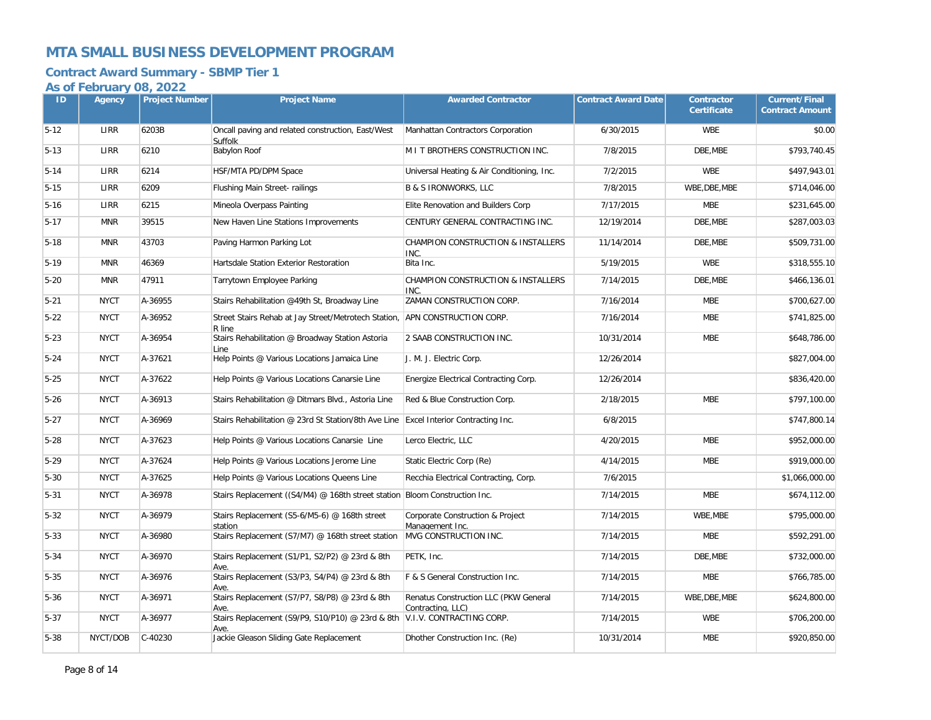# **Contract Award Summary - SBMP Tier 1**

| ID       | Agency      | <b>Project Number</b> | <b>Project Name</b>                                                                  | <b>Awarded Contractor</b>                                  | <b>Contract Award Date</b> | <b>Contractor</b><br><b>Certificate</b> | <b>Current/Final</b><br><b>Contract Amount</b> |
|----------|-------------|-----------------------|--------------------------------------------------------------------------------------|------------------------------------------------------------|----------------------------|-----------------------------------------|------------------------------------------------|
| $5-12$   | LIRR        | 6203B                 | Oncall paving and related construction, East/West<br>Suffolk                         | Manhattan Contractors Corporation                          | 6/30/2015                  | <b>WBE</b>                              | \$0.00                                         |
| $5 - 13$ | LIRR        | 6210                  | <b>Babylon Roof</b>                                                                  | M I T BROTHERS CONSTRUCTION INC.                           | 7/8/2015                   | DBE, MBE                                | \$793,740.45                                   |
| $5 - 14$ | LIRR        | 6214                  | HSF/MTA PD/DPM Space                                                                 | Universal Heating & Air Conditioning, Inc.                 | 7/2/2015                   | <b>WBE</b>                              | \$497,943.01                                   |
| $5 - 15$ | LIRR        | 6209                  | Flushing Main Street-railings                                                        | <b>B &amp; S IRONWORKS, LLC</b>                            | 7/8/2015                   | WBE, DBE, MBE                           | \$714,046.00                                   |
| $5 - 16$ | LIRR        | 6215                  | Mineola Overpass Painting                                                            | Elite Renovation and Builders Corp                         | 7/17/2015                  | <b>MBE</b>                              | \$231,645.00                                   |
| $5 - 17$ | <b>MNR</b>  | 39515                 | New Haven Line Stations Improvements                                                 | CENTURY GENERAL CONTRACTING INC.                           | 12/19/2014                 | DBE, MBE                                | \$287,003.03                                   |
| $5-18$   | <b>MNR</b>  | 43703                 | Paving Harmon Parking Lot                                                            | CHAMPION CONSTRUCTION & INSTALLERS<br>INC.                 | 11/14/2014                 | DBE.MBE                                 | \$509,731.00                                   |
| $5 - 19$ | <b>MNR</b>  | 46369                 | Hartsdale Station Exterior Restoration                                               | Bita Inc.                                                  | 5/19/2015                  | <b>WBE</b>                              | \$318,555.10                                   |
| $5 - 20$ | <b>MNR</b>  | 47911                 | Tarrytown Employee Parking                                                           | CHAMPION CONSTRUCTION & INSTALLERS<br>INC.                 | 7/14/2015                  | DBE, MBE                                | \$466,136.01                                   |
| $5 - 21$ | <b>NYCT</b> | A-36955               | Stairs Rehabilitation @49th St, Broadway Line                                        | ZAMAN CONSTRUCTION CORP.                                   | 7/16/2014                  | <b>MBE</b>                              | \$700,627.00                                   |
| $5 - 22$ | <b>NYCT</b> | A-36952               | Street Stairs Rehab at Jay Street/Metrotech Station,<br>R line                       | APN CONSTRUCTION CORP.                                     | 7/16/2014                  | <b>MBE</b>                              | \$741,825.00                                   |
| $5 - 23$ | <b>NYCT</b> | A-36954               | Stairs Rehabilitation @ Broadway Station Astoria<br>Line                             | 2 SAAB CONSTRUCTION INC.                                   | 10/31/2014                 | <b>MBE</b>                              | \$648,786.00                                   |
| $5 - 24$ | <b>NYCT</b> | A-37621               | Help Points @ Various Locations Jamaica Line                                         | J. M. J. Electric Corp.                                    | 12/26/2014                 |                                         | \$827,004.00                                   |
| $5 - 25$ | <b>NYCT</b> | A-37622               | Help Points @ Various Locations Canarsie Line                                        | Energize Electrical Contracting Corp.                      | 12/26/2014                 |                                         | \$836,420.00                                   |
| $5 - 26$ | <b>NYCT</b> | A-36913               | Stairs Rehabilitation @ Ditmars Blvd., Astoria Line                                  | Red & Blue Construction Corp.                              | 2/18/2015                  | <b>MBE</b>                              | \$797,100.00                                   |
| $5 - 27$ | <b>NYCT</b> | A-36969               | Stairs Rehabilitation @ 23rd St Station/8th Ave Line Excel Interior Contracting Inc. |                                                            | 6/8/2015                   |                                         | \$747,800.14                                   |
| $5 - 28$ | <b>NYCT</b> | A-37623               | Help Points @ Various Locations Canarsie Line                                        | Lerco Electric, LLC                                        | 4/20/2015                  | <b>MBE</b>                              | \$952,000.00                                   |
| $5 - 29$ | <b>NYCT</b> | A-37624               | Help Points @ Various Locations Jerome Line                                          | Static Electric Corp (Re)                                  | 4/14/2015                  | <b>MBE</b>                              | \$919,000.00                                   |
| $5 - 30$ | <b>NYCT</b> | A-37625               | Help Points @ Various Locations Queens Line                                          | Recchia Electrical Contracting, Corp.                      | 7/6/2015                   |                                         | \$1,066,000.00                                 |
| $5 - 31$ | <b>NYCT</b> | A-36978               | Stairs Replacement ((S4/M4) @ 168th street station Bloom Construction Inc.           |                                                            | 7/14/2015                  | <b>MBE</b>                              | \$674,112.00                                   |
| $5 - 32$ | <b>NYCT</b> | A-36979               | Stairs Replacement (S5-6/M5-6) @ 168th street<br>station                             | Corporate Construction & Project<br>Management Inc.        | 7/14/2015                  | WBE.MBE                                 | \$795,000.00                                   |
| $5 - 33$ | <b>NYCT</b> | A-36980               | Stairs Replacement (S7/M7) @ 168th street station                                    | MVG CONSTRUCTION INC.                                      | 7/14/2015                  | <b>MBE</b>                              | \$592,291.00                                   |
| $5 - 34$ | <b>NYCT</b> | A-36970               | Stairs Replacement (S1/P1, S2/P2) @ 23rd & 8th<br>Ave.                               | PETK, Inc.                                                 | 7/14/2015                  | DBE, MBE                                | \$732,000.00                                   |
| $5 - 35$ | <b>NYCT</b> | A-36976               | Stairs Replacement (S3/P3, S4/P4) @ 23rd & 8th<br>Ave.                               | F & S General Construction Inc.                            | 7/14/2015                  | <b>MBE</b>                              | \$766,785.00                                   |
| $5 - 36$ | <b>NYCT</b> | A-36971               | Stairs Replacement (S7/P7, S8/P8) @ 23rd & 8th<br>Ave.                               | Renatus Construction LLC (PKW General<br>Contracting. LLC) | 7/14/2015                  | WBE, DBE, MBE                           | \$624,800.00                                   |
| $5 - 37$ | <b>NYCT</b> | A-36977               | Stairs Replacement (S9/P9, S10/P10) @ 23rd & 8th V.I.V. CONTRACTING CORP.<br>Ave.    |                                                            | 7/14/2015                  | <b>WBE</b>                              | \$706,200.00                                   |
| $5 - 38$ | NYCT/DOB    | $C-40230$             | Jackie Gleason Sliding Gate Replacement                                              | Dhother Construction Inc. (Re)                             | 10/31/2014                 | <b>MBE</b>                              | \$920,850.00                                   |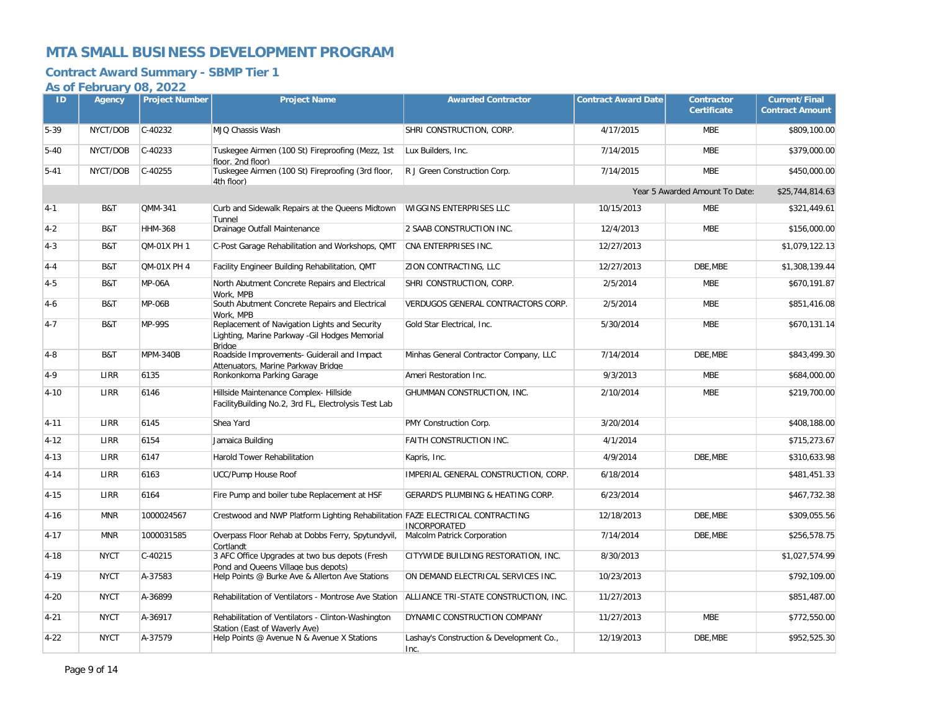### **Contract Award Summary - SBMP Tier 1**

| ID       | Agency      | <b>Project Number</b> | <b>Project Name</b>                                                                                              | <b>Awarded Contractor</b>                        | <b>Contract Award Date</b> | <b>Contractor</b><br><b>Certificate</b> | <b>Current/Final</b><br><b>Contract Amount</b> |
|----------|-------------|-----------------------|------------------------------------------------------------------------------------------------------------------|--------------------------------------------------|----------------------------|-----------------------------------------|------------------------------------------------|
| $5 - 39$ | NYCT/DOB    | C-40232               | MJQ Chassis Wash                                                                                                 | SHRI CONSTRUCTION, CORP.                         | 4/17/2015                  | MBE                                     | \$809,100.00                                   |
| $5 - 40$ | NYCT/DOB    | $C-40233$             | Tuskegee Airmen (100 St) Fireproofing (Mezz, 1st<br>floor, 2nd floor)                                            | Lux Builders, Inc.                               | 7/14/2015                  | <b>MBE</b>                              | \$379,000.00                                   |
| $5 - 41$ | NYCT/DOB    | $C-40255$             | Tuskegee Airmen (100 St) Fireproofing (3rd floor,<br>4th floor)                                                  | R J Green Construction Corp.                     | 7/14/2015                  | <b>MBE</b>                              | \$450,000.00                                   |
|          |             |                       |                                                                                                                  |                                                  |                            | Year 5 Awarded Amount To Date:          | \$25,744,814.63                                |
| $4 - 1$  | B&T         | QMM-341               | Curb and Sidewalk Repairs at the Queens Midtown<br>Tunnel                                                        | WIGGINS ENTERPRISES LLC                          | 10/15/2013                 | <b>MBE</b>                              | \$321,449.61                                   |
| $4 - 2$  | B&T         | <b>HHM-368</b>        | Drainage Outfall Maintenance                                                                                     | 2 SAAB CONSTRUCTION INC.                         | 12/4/2013                  | <b>MBE</b>                              | \$156,000.00                                   |
| $4 - 3$  | B&T         | QM-01X PH 1           | C-Post Garage Rehabilitation and Workshops, QMT                                                                  | CNA ENTERPRISES INC.                             | 12/27/2013                 |                                         | \$1,079,122.13                                 |
| $4 - 4$  | B&T         | QM-01X PH 4           | Facility Engineer Building Rehabilitation, QMT                                                                   | ZION CONTRACTING, LLC                            | 12/27/2013                 | DBE, MBE                                | \$1,308,139.44                                 |
| $4 - 5$  | B&T         | <b>MP-06A</b>         | North Abutment Concrete Repairs and Electrical<br>Work. MPB                                                      | SHRI CONSTRUCTION, CORP.                         | 2/5/2014                   | <b>MBE</b>                              | \$670,191.87                                   |
| $4 - 6$  | B&T         | <b>MP-06B</b>         | South Abutment Concrete Repairs and Electrical<br>Work, MPB                                                      | VERDUGOS GENERAL CONTRACTORS CORP.               | 2/5/2014                   | <b>MBE</b>                              | \$851,416.08                                   |
| $4 - 7$  | B&T         | <b>MP-99S</b>         | Replacement of Navigation Lights and Security<br>Lighting, Marine Parkway - Gil Hodges Memorial<br><b>Bridge</b> | Gold Star Electrical, Inc.                       | 5/30/2014                  | <b>MBE</b>                              | \$670,131.14                                   |
| $4 - 8$  | B&T         | <b>MPM-340B</b>       | Roadside Improvements- Guiderail and Impact<br>Attenuators. Marine Parkwav Bridge                                | Minhas General Contractor Company, LLC           | 7/14/2014                  | DBE.MBE                                 | \$843,499.30                                   |
| $4 - 9$  | LIRR        | 6135                  | Ronkonkoma Parking Garage                                                                                        | Ameri Restoration Inc.                           | 9/3/2013                   | <b>MBE</b>                              | \$684,000.00                                   |
| $4 - 10$ | <b>LIRR</b> | 6146                  | Hillside Maintenance Complex- Hillside<br>FacilityBuilding No.2, 3rd FL, Electrolysis Test Lab                   | GHUMMAN CONSTRUCTION, INC.                       | 2/10/2014                  | <b>MBE</b>                              | \$219,700.00                                   |
| $4 - 11$ | LIRR        | 6145                  | Shea Yard                                                                                                        | PMY Construction Corp.                           | 3/20/2014                  |                                         | \$408,188.00                                   |
| $4 - 12$ | <b>LIRR</b> | 6154                  | Jamaica Building                                                                                                 | FAITH CONSTRUCTION INC.                          | 4/1/2014                   |                                         | \$715,273.67                                   |
| $4 - 13$ | LIRR        | 6147                  | Harold Tower Rehabilitation                                                                                      | Kapris, Inc.                                     | 4/9/2014                   | DBE.MBE                                 | \$310,633.98                                   |
| $4 - 14$ | LIRR        | 6163                  | UCC/Pump House Roof                                                                                              | IMPERIAL GENERAL CONSTRUCTION, CORP.             | 6/18/2014                  |                                         | \$481,451.33                                   |
| $4 - 15$ | LIRR        | 6164                  | Fire Pump and boiler tube Replacement at HSF                                                                     | GERARD'S PLUMBING & HEATING CORP.                | 6/23/2014                  |                                         | \$467,732.38                                   |
| $4 - 16$ | <b>MNR</b>  | 1000024567            | Crestwood and NWP Platform Lighting Rehabilitation FAZE ELECTRICAL CONTRACTING                                   | <b>INCORPORATED</b>                              | 12/18/2013                 | DBE, MBE                                | \$309,055.56                                   |
| $4 - 17$ | <b>MNR</b>  | 1000031585            | Overpass Floor Rehab at Dobbs Ferry, Spytundyvil,<br>Cortlandt                                                   | Malcolm Patrick Corporation                      | 7/14/2014                  | DBE.MBE                                 | \$256.578.75                                   |
| $4 - 18$ | <b>NYCT</b> | C-40215               | 3 AFC Office Upgrades at two bus depots (Fresh<br>Pond and Queens Village bus depots)                            | CITYWIDE BUILDING RESTORATION, INC.              | 8/30/2013                  |                                         | \$1,027,574.99                                 |
| $4 - 19$ | <b>NYCT</b> | A-37583               | Help Points @ Burke Ave & Allerton Ave Stations                                                                  | ON DEMAND ELECTRICAL SERVICES INC.               | 10/23/2013                 |                                         | \$792,109.00                                   |
| $4 - 20$ | <b>NYCT</b> | A-36899               | Rehabilitation of Ventilators - Montrose Ave Station                                                             | ALLIANCE TRI-STATE CONSTRUCTION, INC.            | 11/27/2013                 |                                         | \$851,487.00                                   |
| $4 - 21$ | <b>NYCT</b> | A-36917               | Rehabilitation of Ventilators - Clinton-Washington<br>Station (East of Waverly Ave)                              | DYNAMIC CONSTRUCTION COMPANY                     | 11/27/2013                 | <b>MBE</b>                              | \$772,550.00                                   |
| $4 - 22$ | <b>NYCT</b> | A-37579               | Help Points @ Avenue N & Avenue X Stations                                                                       | Lashay's Construction & Development Co.,<br>Inc. | 12/19/2013                 | DBE, MBE                                | \$952,525.30                                   |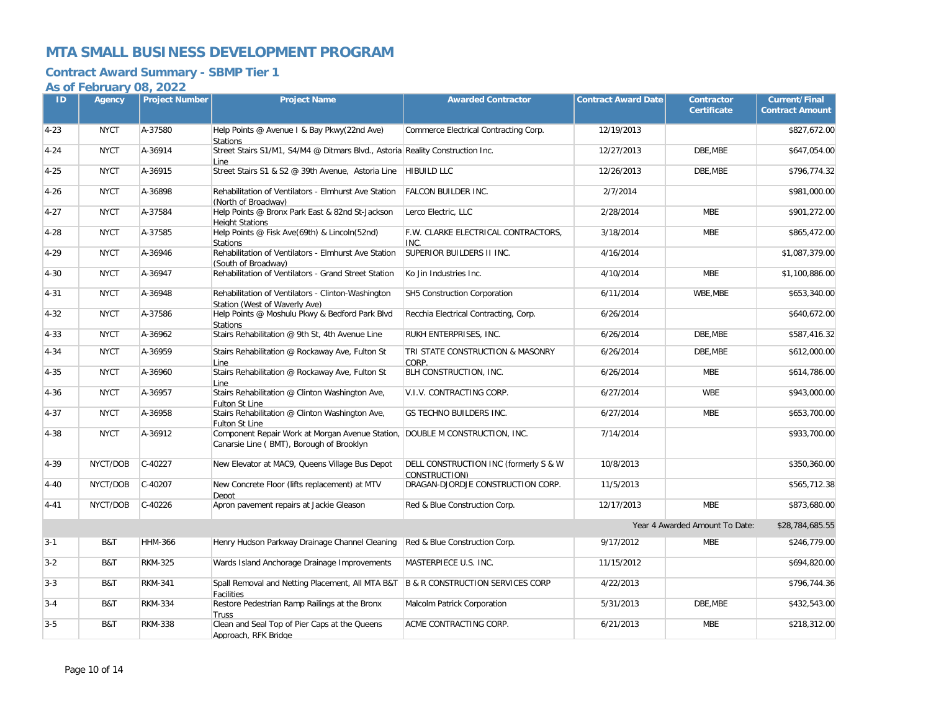### **Contract Award Summary - SBMP Tier 1**

| ID       | <b>Agency</b> | <b>Project Number</b> | <b>Project Name</b>                                                                                                     | <b>Awarded Contractor</b>                              | <b>Contract Award Date</b> | <b>Contractor</b><br><b>Certificate</b> | <b>Current/Final</b><br><b>Contract Amount</b> |
|----------|---------------|-----------------------|-------------------------------------------------------------------------------------------------------------------------|--------------------------------------------------------|----------------------------|-----------------------------------------|------------------------------------------------|
| $4 - 23$ | <b>NYCT</b>   | A-37580               | Help Points @ Avenue I & Bay Pkwy(22nd Ave)<br><b>Stations</b>                                                          | Commerce Electrical Contracting Corp.                  | 12/19/2013                 |                                         | \$827,672.00                                   |
| $4 - 24$ | <b>NYCT</b>   | A-36914               | Street Stairs S1/M1, S4/M4 @ Ditmars Blvd., Astoria Reality Construction Inc.<br>Line                                   |                                                        | 12/27/2013                 | DBE, MBE                                | \$647,054.00                                   |
| $4 - 25$ | <b>NYCT</b>   | A-36915               | Street Stairs S1 & S2 @ 39th Avenue, Astoria Line                                                                       | <b>HIBUILD LLC</b>                                     | 12/26/2013                 | DBE.MBE                                 | \$796,774.32                                   |
| $4 - 26$ | <b>NYCT</b>   | A-36898               | Rehabilitation of Ventilators - Elmhurst Ave Station<br>(North of Broadway)                                             | <b>FALCON BUILDER INC.</b>                             | 2/7/2014                   |                                         | \$981,000.00                                   |
| $4 - 27$ | <b>NYCT</b>   | A-37584               | Help Points @ Bronx Park East & 82nd St-Jackson<br><b>Height Stations</b>                                               | Lerco Electric, LLC                                    | 2/28/2014                  | <b>MBE</b>                              | \$901,272.00                                   |
| $4 - 28$ | <b>NYCT</b>   | A-37585               | Help Points @ Fisk Ave(69th) & Lincoln(52nd)<br><b>Stations</b>                                                         | F.W. CLARKE ELECTRICAL CONTRACTORS,<br>INC.            | 3/18/2014                  | <b>MBE</b>                              | \$865,472.00                                   |
| $4 - 29$ | <b>NYCT</b>   | A-36946               | Rehabilitation of Ventilators - Elmhurst Ave Station<br>(South of Broadway)                                             | SUPERIOR BUILDERS II INC.                              | 4/16/2014                  |                                         | \$1,087,379.00                                 |
| $4 - 30$ | <b>NYCT</b>   | A-36947               | Rehabilitation of Ventilators - Grand Street Station                                                                    | Ko Jin Industries Inc.                                 | 4/10/2014                  | <b>MBE</b>                              | \$1,100,886.00                                 |
| $4 - 31$ | <b>NYCT</b>   | A-36948               | Rehabilitation of Ventilators - Clinton-Washington<br>Station (West of Waverly Ave)                                     | SH5 Construction Corporation                           | 6/11/2014                  | WBE, MBE                                | \$653,340.00                                   |
| $4 - 32$ | <b>NYCT</b>   | A-37586               | Help Points @ Moshulu Pkwy & Bedford Park Blvd<br><b>Stations</b>                                                       | Recchia Electrical Contracting, Corp.                  | 6/26/2014                  |                                         | \$640,672.00                                   |
| $4 - 33$ | <b>NYCT</b>   | A-36962               | Stairs Rehabilitation @ 9th St, 4th Avenue Line                                                                         | RUKH ENTERPRISES, INC.                                 | 6/26/2014                  | DBE.MBE                                 | \$587,416.32                                   |
| $4 - 34$ | <b>NYCT</b>   | A-36959               | Stairs Rehabilitation @ Rockaway Ave, Fulton St<br>Line                                                                 | TRI STATE CONSTRUCTION & MASONRY<br>CORP.              | 6/26/2014                  | DBE, MBE                                | \$612,000.00                                   |
| $4 - 35$ | <b>NYCT</b>   | A-36960               | Stairs Rehabilitation @ Rockaway Ave, Fulton St<br>Line                                                                 | BLH CONSTRUCTION, INC.                                 | 6/26/2014                  | <b>MBE</b>                              | \$614,786.00                                   |
| $4 - 36$ | <b>NYCT</b>   | A-36957               | Stairs Rehabilitation @ Clinton Washington Ave,<br>Fulton St Line                                                       | V.I.V. CONTRACTING CORP.                               | 6/27/2014                  | <b>WBE</b>                              | \$943,000.00                                   |
| $4 - 37$ | <b>NYCT</b>   | A-36958               | Stairs Rehabilitation @ Clinton Washington Ave,<br><b>Fulton St Line</b>                                                | GS TECHNO BUILDERS INC.                                | 6/27/2014                  | <b>MBE</b>                              | \$653,700.00                                   |
| $4 - 38$ | <b>NYCT</b>   | A-36912               | Component Repair Work at Morgan Avenue Station, DOUBLE M CONSTRUCTION, INC.<br>Canarsie Line (BMT), Borough of Brooklyn |                                                        | 7/14/2014                  |                                         | \$933,700.00                                   |
| 4-39     | NYCT/DOB      | C-40227               | New Elevator at MAC9, Queens Village Bus Depot                                                                          | DELL CONSTRUCTION INC (formerly S & W<br>CONSTRUCTION) | 10/8/2013                  |                                         | \$350,360.00                                   |
| $4 - 40$ | NYCT/DOB      | C-40207               | New Concrete Floor (lifts replacement) at MTV<br>Depot                                                                  | DRAGAN-DJORDJE CONSTRUCTION CORP.                      | 11/5/2013                  |                                         | \$565,712.38                                   |
| $4 - 41$ | NYCT/DOB      | C-40226               | Apron pavement repairs at Jackie Gleason                                                                                | Red & Blue Construction Corp.                          | 12/17/2013                 | <b>MBE</b>                              | \$873,680.00                                   |
|          |               |                       |                                                                                                                         |                                                        |                            | Year 4 Awarded Amount To Date:          | \$28,784,685.55                                |
| $3 - 1$  | B&T           | <b>HHM-366</b>        | Henry Hudson Parkway Drainage Channel Cleaning                                                                          | Red & Blue Construction Corp.                          | 9/17/2012                  | <b>MBE</b>                              | \$246,779.00                                   |
| $3-2$    | B&T           | <b>RKM-325</b>        | Wards Island Anchorage Drainage Improvements                                                                            | MASTERPIECE U.S. INC.                                  | 11/15/2012                 |                                         | \$694,820.00                                   |
| $3 - 3$  | B&T           | <b>RKM-341</b>        | Spall Removal and Netting Placement, All MTA B&T B & R CONSTRUCTION SERVICES CORP<br>Facilities                         |                                                        | 4/22/2013                  |                                         | \$796,744.36                                   |
| $3 - 4$  | B&T           | <b>RKM-334</b>        | Restore Pedestrian Ramp Railings at the Bronx<br>Truss                                                                  | Malcolm Patrick Corporation                            | 5/31/2013                  | DBE, MBE                                | \$432,543.00                                   |
| $3-5$    | B&T           | <b>RKM-338</b>        | Clean and Seal Top of Pier Caps at the Queens<br>Approach, RFK Bridge                                                   | ACME CONTRACTING CORP.                                 | 6/21/2013                  | <b>MBE</b>                              | \$218,312.00                                   |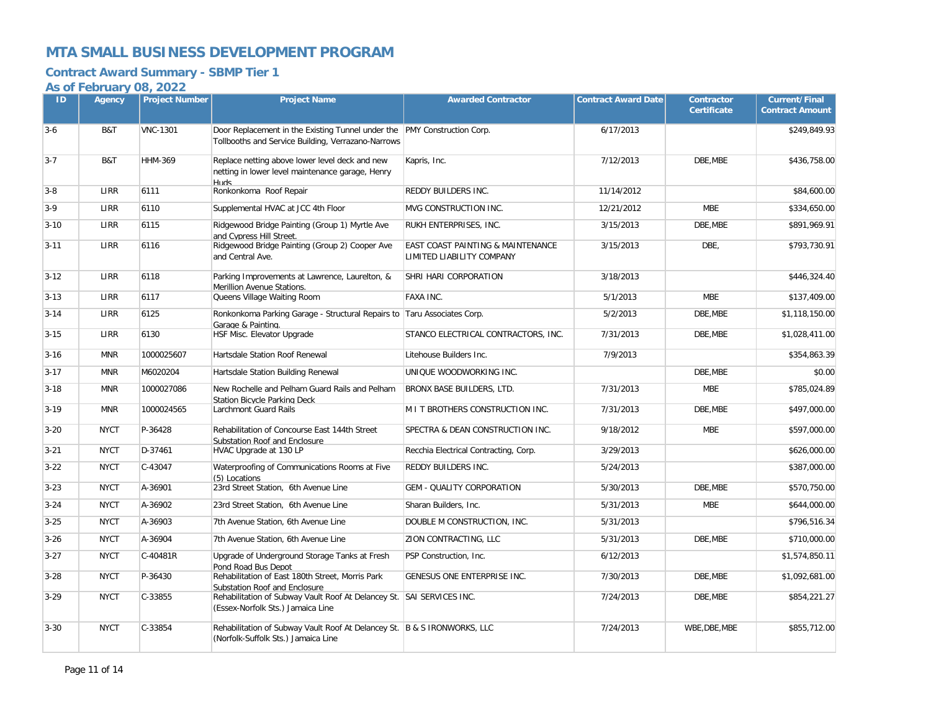### **Contract Award Summary - SBMP Tier 1**

| ID       | <b>Agency</b> | <b>Project Number</b> | <b>Project Name</b>                                                                                                                         | <b>Awarded Contractor</b>                                                 | <b>Contract Award Date</b> | <b>Contractor</b><br><b>Certificate</b> | <b>Current/Final</b><br><b>Contract Amount</b> |
|----------|---------------|-----------------------|---------------------------------------------------------------------------------------------------------------------------------------------|---------------------------------------------------------------------------|----------------------------|-----------------------------------------|------------------------------------------------|
| $3 - 6$  | B&T           | <b>VNC-1301</b>       | Door Replacement in the Existing Tunnel under the PMY Construction Corp.<br>Tollbooths and Service Building, Verrazano-Narrows              |                                                                           | 6/17/2013                  |                                         | \$249,849.93                                   |
| $3 - 7$  | B&T           | <b>HHM-369</b>        | Replace netting above lower level deck and new<br>netting in lower level maintenance garage, Henry<br><b>PhilH</b>                          | Kapris, Inc.                                                              | 7/12/2013                  | DBE.MBE                                 | \$436,758.00                                   |
| $3 - 8$  | LIRR          | 6111                  | Ronkonkoma Roof Repair                                                                                                                      | REDDY BUILDERS INC.                                                       | 11/14/2012                 |                                         | \$84,600.00                                    |
| $3 - 9$  | LIRR          | 6110                  | Supplemental HVAC at JCC 4th Floor                                                                                                          | MVG CONSTRUCTION INC.                                                     | 12/21/2012                 | <b>MBE</b>                              | \$334,650.00                                   |
| $3 - 10$ | LIRR          | 6115                  | Ridgewood Bridge Painting (Group 1) Myrtle Ave<br>and Cvpress Hill Street.                                                                  | RUKH ENTERPRISES, INC.                                                    | 3/15/2013                  | DBE.MBE                                 | \$891.969.91                                   |
| $3 - 11$ | LIRR          | 6116                  | Ridgewood Bridge Painting (Group 2) Cooper Ave<br>and Central Ave.                                                                          | <b>EAST COAST PAINTING &amp; MAINTENANCE</b><br>LIMITED LIABILITY COMPANY | 3/15/2013                  | DBE,                                    | \$793,730.91                                   |
| $3 - 12$ | LIRR          | 6118                  | Parking Improvements at Lawrence, Laurelton, &<br>Merillion Avenue Stations.                                                                | SHRI HARI CORPORATION                                                     | 3/18/2013                  |                                         | \$446,324.40                                   |
| $3 - 13$ | LIRR          | 6117                  | Queens Village Waiting Room                                                                                                                 | <b>FAXA INC.</b>                                                          | 5/1/2013                   | <b>MBE</b>                              | \$137,409.00                                   |
| $3 - 14$ | LIRR          | 6125                  | Ronkonkoma Parking Garage - Structural Repairs to Taru Associates Corp.<br>Garage & Painting.                                               |                                                                           | 5/2/2013                   | DBE.MBE                                 | \$1,118,150.00                                 |
| $3 - 15$ | LIRR          | 6130                  | HSF Misc. Elevator Upgrade                                                                                                                  | STANCO ELECTRICAL CONTRACTORS, INC.                                       | 7/31/2013                  | DBE, MBE                                | \$1,028,411.00                                 |
| $3 - 16$ | <b>MNR</b>    | 1000025607            | Hartsdale Station Roof Renewal                                                                                                              | Litehouse Builders Inc.                                                   | 7/9/2013                   |                                         | \$354,863.39                                   |
| $3 - 17$ | <b>MNR</b>    | M6020204              | Hartsdale Station Building Renewal                                                                                                          | UNIQUE WOODWORKING INC.                                                   |                            | DBE, MBE                                | \$0.00                                         |
| $3 - 18$ | <b>MNR</b>    | 1000027086            | New Rochelle and Pelham Guard Rails and Pelham<br><b>Station Bicvcle Parking Deck</b>                                                       | BRONX BASE BUILDERS, LTD.                                                 | 7/31/2013                  | <b>MBE</b>                              | \$785,024.89                                   |
| $3-19$   | <b>MNR</b>    | 1000024565            | Larchmont Guard Rails                                                                                                                       | M I T BROTHERS CONSTRUCTION INC.                                          | 7/31/2013                  | DBE, MBE                                | \$497,000.00                                   |
| $3 - 20$ | <b>NYCT</b>   | P-36428               | Rehabilitation of Concourse East 144th Street<br>Substation Roof and Enclosure                                                              | SPECTRA & DEAN CONSTRUCTION INC.                                          | 9/18/2012                  | <b>MBE</b>                              | \$597,000.00                                   |
| $3 - 21$ | <b>NYCT</b>   | D-37461               | HVAC Upgrade at 130 LP                                                                                                                      | Recchia Electrical Contracting, Corp.                                     | 3/29/2013                  |                                         | \$626,000.00                                   |
| $3 - 22$ | <b>NYCT</b>   | C-43047               | Waterproofing of Communications Rooms at Five<br>(5) Locations                                                                              | REDDY BUILDERS INC.                                                       | 5/24/2013                  |                                         | \$387,000.00                                   |
| $3 - 23$ | <b>NYCT</b>   | A-36901               | 23rd Street Station, 6th Avenue Line                                                                                                        | <b>GEM - QUALITY CORPORATION</b>                                          | 5/30/2013                  | DBE, MBE                                | \$570,750.00                                   |
| $3 - 24$ | <b>NYCT</b>   | A-36902               | 23rd Street Station, 6th Avenue Line                                                                                                        | Sharan Builders, Inc.                                                     | 5/31/2013                  | <b>MBE</b>                              | \$644,000.00                                   |
| $3 - 25$ | <b>NYCT</b>   | A-36903               | 7th Avenue Station, 6th Avenue Line                                                                                                         | DOUBLE M CONSTRUCTION, INC.                                               | 5/31/2013                  |                                         | \$796,516.34                                   |
| $3 - 26$ | <b>NYCT</b>   | A-36904               | 7th Avenue Station, 6th Avenue Line                                                                                                         | ZION CONTRACTING, LLC                                                     | 5/31/2013                  | DBE.MBE                                 | \$710,000.00                                   |
| $3 - 27$ | <b>NYCT</b>   | C-40481R              | Upgrade of Underground Storage Tanks at Fresh<br>Pond Road Bus Depot                                                                        | PSP Construction, Inc.                                                    | 6/12/2013                  |                                         | \$1,574,850.11                                 |
| $3 - 28$ | <b>NYCT</b>   | P-36430               | Rehabilitation of East 180th Street, Morris Park                                                                                            | GENESUS ONE ENTERPRISE INC.                                               | 7/30/2013                  | DBE, MBE                                | \$1,092,681.00                                 |
| $3-29$   | <b>NYCT</b>   | C-33855               | Substation Roof and Enclosure<br>Rehabilitation of Subway Vault Roof At Delancey St. SAI SERVICES INC.<br>(Essex-Norfolk Sts.) Jamaica Line |                                                                           | 7/24/2013                  | DBE.MBE                                 | \$854,221.27                                   |
| $3 - 30$ | <b>NYCT</b>   | C-33854               | Rehabilitation of Subway Vault Roof At Delancey St. B & S IRONWORKS, LLC<br>(Norfolk-Suffolk Sts.) Jamaica Line                             |                                                                           | 7/24/2013                  | WBE, DBE, MBE                           | \$855,712.00                                   |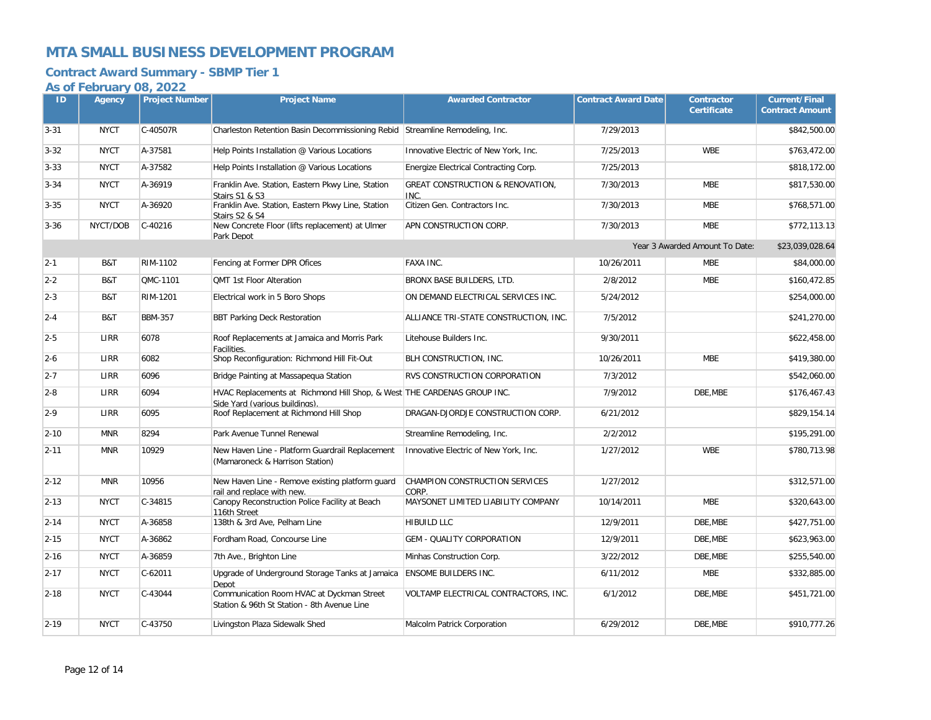### **Contract Award Summary - SBMP Tier 1**

| ID       | Agency      | <b>Project Number</b> | <b>Project Name</b>                                                                                       | <b>Awarded Contractor</b>                           | <b>Contract Award Date</b> | <b>Contractor</b><br><b>Certificate</b> | <b>Current/Final</b><br><b>Contract Amount</b> |
|----------|-------------|-----------------------|-----------------------------------------------------------------------------------------------------------|-----------------------------------------------------|----------------------------|-----------------------------------------|------------------------------------------------|
| $3 - 31$ | <b>NYCT</b> | C-40507R              | Charleston Retention Basin Decommissioning Rebid Streamline Remodeling, Inc.                              |                                                     | 7/29/2013                  |                                         | \$842,500.00                                   |
| $3 - 32$ | <b>NYCT</b> | A-37581               | Help Points Installation @ Various Locations                                                              | Innovative Electric of New York, Inc.               | 7/25/2013                  | <b>WBE</b>                              | \$763,472.00                                   |
| $3 - 33$ | <b>NYCT</b> | A-37582               | Help Points Installation @ Various Locations                                                              | Energize Electrical Contracting Corp.               | 7/25/2013                  |                                         | \$818,172.00                                   |
| $3 - 34$ | <b>NYCT</b> | A-36919               | Franklin Ave. Station, Eastern Pkwy Line, Station<br>Stairs S1 & S3                                       | <b>GREAT CONSTRUCTION &amp; RENOVATION,</b><br>INC. | 7/30/2013                  | <b>MBE</b>                              | \$817,530.00                                   |
| $3 - 35$ | <b>NYCT</b> | A-36920               | Franklin Ave. Station, Eastern Pkwy Line, Station<br>Stairs S2 & S4                                       | Citizen Gen. Contractors Inc.                       | 7/30/2013                  | <b>MBE</b>                              | \$768,571.00                                   |
| $3 - 36$ | NYCT/DOB    | $C-40216$             | New Concrete Floor (lifts replacement) at Ulmer<br>Park Depot                                             | APN CONSTRUCTION CORP.                              | 7/30/2013                  | <b>MBE</b>                              | \$772,113.13                                   |
|          |             |                       |                                                                                                           |                                                     |                            | Year 3 Awarded Amount To Date:          | \$23,039,028.64                                |
| $2 - 1$  | B&T         | RIM-1102              | Fencing at Former DPR Ofices                                                                              | FAXA INC.                                           | 10/26/2011                 | <b>MBE</b>                              | \$84,000.00                                    |
| $2 - 2$  | B&T         | QMC-1101              | QMT 1st Floor Alteration                                                                                  | BRONX BASE BUILDERS, LTD.                           | 2/8/2012                   | <b>MBE</b>                              | \$160,472.85                                   |
| $2 - 3$  | B&T         | RIM-1201              | Electrical work in 5 Boro Shops                                                                           | ON DEMAND ELECTRICAL SERVICES INC.                  | 5/24/2012                  |                                         | \$254,000.00                                   |
| $2 - 4$  | B&T         | <b>BBM-357</b>        | <b>BBT Parking Deck Restoration</b>                                                                       | ALLIANCE TRI-STATE CONSTRUCTION, INC.               | 7/5/2012                   |                                         | \$241,270.00                                   |
| $2-5$    | <b>LIRR</b> | 6078                  | Roof Replacements at Jamaica and Morris Park<br>Facilities.                                               | Litehouse Builders Inc.                             | 9/30/2011                  |                                         | \$622,458.00                                   |
| $2 - 6$  | LIRR        | 6082                  | Shop Reconfiguration: Richmond Hill Fit-Out                                                               | BLH CONSTRUCTION, INC.                              | 10/26/2011                 | <b>MBE</b>                              | \$419,380.00                                   |
| $2 - 7$  | <b>LIRR</b> | 6096                  | Bridge Painting at Massapequa Station                                                                     | RVS CONSTRUCTION CORPORATION                        | 7/3/2012                   |                                         | \$542,060.00                                   |
| $2 - 8$  | LIRR        | 6094                  | HVAC Replacements at Richmond Hill Shop, & West THE CARDENAS GROUP INC.<br>Side Yard (various buildings). |                                                     | 7/9/2012                   | DBE, MBE                                | \$176,467.43                                   |
| $2 - 9$  | <b>LIRR</b> | 6095                  | Roof Replacement at Richmond Hill Shop                                                                    | DRAGAN-DJORDJE CONSTRUCTION CORP.                   | 6/21/2012                  |                                         | \$829,154.14                                   |
| $2 - 10$ | <b>MNR</b>  | 8294                  | Park Avenue Tunnel Renewal                                                                                | Streamline Remodeling, Inc.                         | 2/2/2012                   |                                         | \$195.291.00                                   |
| $2 - 11$ | <b>MNR</b>  | 10929                 | New Haven Line - Platform Guardrail Replacement<br>(Mamaroneck & Harrison Station)                        | Innovative Electric of New York, Inc.               | 1/27/2012                  | <b>WBE</b>                              | \$780,713.98                                   |
| $2 - 12$ | <b>MNR</b>  | 10956                 | New Haven Line - Remove existing platform guard<br>rail and replace with new.                             | CHAMPION CONSTRUCTION SERVICES<br>CORP.             | 1/27/2012                  |                                         | \$312,571.00                                   |
| $2 - 13$ | <b>NYCT</b> | C-34815               | Canopy Reconstruction Police Facility at Beach<br>116th Street                                            | MAYSONET LIMITED LIABILITY COMPANY                  | 10/14/2011                 | <b>MBE</b>                              | \$320,643.00                                   |
| $2 - 14$ | <b>NYCT</b> | A-36858               | 138th & 3rd Ave, Pelham Line                                                                              | HIBUILD LLC                                         | 12/9/2011                  | DBE, MBE                                | \$427,751.00                                   |
| $2 - 15$ | <b>NYCT</b> | A-36862               | Fordham Road, Concourse Line                                                                              | <b>GEM - QUALITY CORPORATION</b>                    | 12/9/2011                  | DBE.MBE                                 | \$623,963.00                                   |
| $2 - 16$ | <b>NYCT</b> | A-36859               | 7th Ave., Brighton Line                                                                                   | Minhas Construction Corp.                           | 3/22/2012                  | DBE, MBE                                | \$255,540.00                                   |
| $2 - 17$ | <b>NYCT</b> | $C-62011$             | Upgrade of Underground Storage Tanks at Jamaica<br>Depot                                                  | ENSOME BUILDERS INC.                                | 6/11/2012                  | <b>MBE</b>                              | \$332,885.00                                   |
| $2 - 18$ | <b>NYCT</b> | C-43044               | Communication Room HVAC at Dyckman Street<br>Station & 96th St Station - 8th Avenue Line                  | VOLTAMP ELECTRICAL CONTRACTORS, INC.                | 6/1/2012                   | DBE, MBE                                | \$451,721.00                                   |
| $2 - 19$ | <b>NYCT</b> | C-43750               | Livingston Plaza Sidewalk Shed                                                                            | Malcolm Patrick Corporation                         | 6/29/2012                  | DBE, MBE                                | \$910,777.26                                   |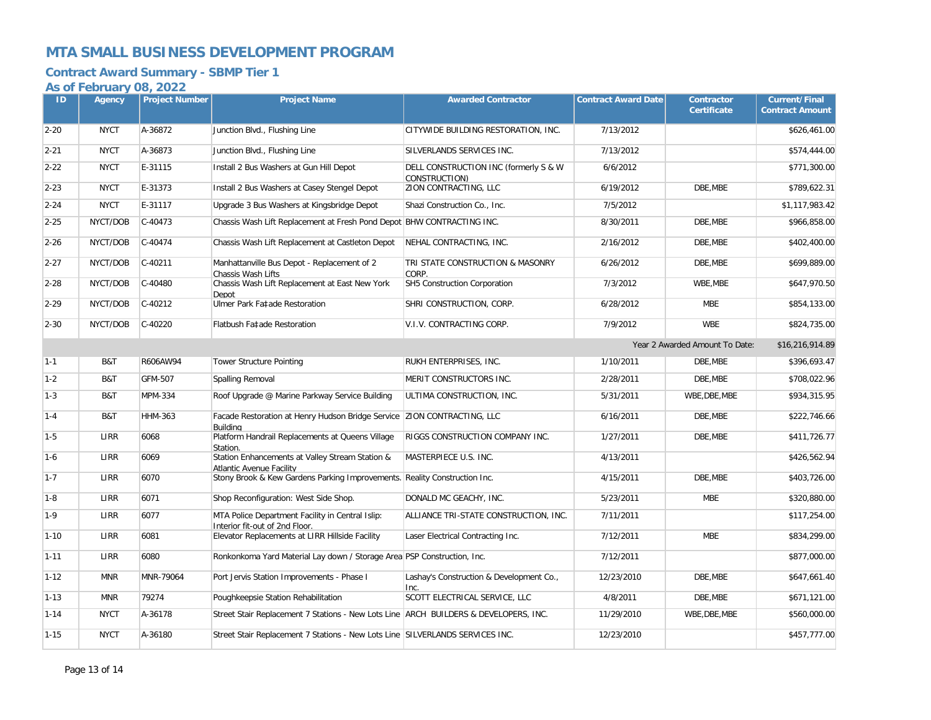### **Contract Award Summary - SBMP Tier 1**

| ID       | Agency      | <b>Project Number</b> | <b>Project Name</b>                                                                   | <b>Awarded Contractor</b>                              | <b>Contract Award Date</b> | <b>Contractor</b><br><b>Certificate</b> | <b>Current/Final</b><br><b>Contract Amount</b> |
|----------|-------------|-----------------------|---------------------------------------------------------------------------------------|--------------------------------------------------------|----------------------------|-----------------------------------------|------------------------------------------------|
|          |             |                       |                                                                                       |                                                        |                            |                                         |                                                |
| $2 - 20$ | <b>NYCT</b> | A-36872               | Junction Blvd., Flushing Line                                                         | CITYWIDE BUILDING RESTORATION, INC.                    | 7/13/2012                  |                                         | \$626,461.00                                   |
| $2 - 21$ | <b>NYCT</b> | A-36873               | Junction Blvd., Flushing Line                                                         | SILVERLANDS SERVICES INC.                              | 7/13/2012                  |                                         | \$574,444.00                                   |
| $2 - 22$ | <b>NYCT</b> | E-31115               | Install 2 Bus Washers at Gun Hill Depot                                               | DELL CONSTRUCTION INC (formerly S & W<br>CONSTRUCTION) | 6/6/2012                   |                                         | \$771,300.00                                   |
| $2 - 23$ | <b>NYCT</b> | E-31373               | Install 2 Bus Washers at Casey Stengel Depot                                          | ZION CONTRACTING, LLC                                  | 6/19/2012                  | DBE, MBE                                | \$789,622.31                                   |
| $2 - 24$ | <b>NYCT</b> | E-31117               | Upgrade 3 Bus Washers at Kingsbridge Depot                                            | Shazi Construction Co., Inc.                           | 7/5/2012                   |                                         | \$1,117,983.42                                 |
| $2 - 25$ | NYCT/DOB    | $C-40473$             | Chassis Wash Lift Replacement at Fresh Pond Depot BHW CONTRACTING INC.                |                                                        | 8/30/2011                  | DBE, MBE                                | \$966,858.00                                   |
| $2 - 26$ | NYCT/DOB    | C-40474               | Chassis Wash Lift Replacement at Castleton Depot                                      | NEHAL CONTRACTING, INC.                                | 2/16/2012                  | DBE.MBE                                 | \$402,400.00                                   |
| $2 - 27$ | NYCT/DOB    | $C-40211$             | Manhattanville Bus Depot - Replacement of 2<br>Chassis Wash Lifts                     | TRI STATE CONSTRUCTION & MASONRY<br>CORP.              | 6/26/2012                  | DBE, MBE                                | \$699,889.00                                   |
| $2 - 28$ | NYCT/DOB    | C-40480               | Chassis Wash Lift Replacement at East New York<br>Depot                               | SH5 Construction Corporation                           | 7/3/2012                   | WBE, MBE                                | \$647,970.50                                   |
| $2 - 29$ | NYCT/DOB    | $C-40212$             | Ulmer Park Fa‡ade Restoration                                                         | SHRI CONSTRUCTION, CORP.                               | 6/28/2012                  | <b>MBE</b>                              | \$854,133.00                                   |
| $2 - 30$ | NYCT/DOB    | C-40220               | Flatbush Fa‡ade Restoration                                                           | V.I.V. CONTRACTING CORP.                               | 7/9/2012                   | <b>WBE</b>                              | \$824,735.00                                   |
|          |             |                       |                                                                                       |                                                        |                            | Year 2 Awarded Amount To Date:          | \$16,216,914.89                                |
| $1 - 1$  | B&T         | R606AW94              | <b>Tower Structure Pointing</b>                                                       | RUKH ENTERPRISES, INC.                                 | 1/10/2011                  | DBE, MBE                                | \$396,693.47                                   |
| $1-2$    | B&T         | GFM-507               | Spalling Removal                                                                      | MERIT CONSTRUCTORS INC.                                | 2/28/2011                  | DBE, MBE                                | \$708,022.96                                   |
| $1-3$    | B&T         | <b>MPM-334</b>        | Roof Upgrade @ Marine Parkway Service Building                                        | ULTIMA CONSTRUCTION, INC.                              | 5/31/2011                  | WBE, DBE, MBE                           | \$934,315.95                                   |
| $1 - 4$  | B&T         | <b>HHM-363</b>        | Facade Restoration at Henry Hudson Bridge Service   ZION CONTRACTING, LLC<br>Buildina |                                                        | 6/16/2011                  | DBE.MBE                                 | \$222,746.66                                   |
| $1-5$    | LIRR        | 6068                  | Platform Handrail Replacements at Queens Village<br>Station.                          | RIGGS CONSTRUCTION COMPANY INC.                        | 1/27/2011                  | DBE, MBE                                | \$411,726.77                                   |
| $1-6$    | <b>LIRR</b> | 6069                  | Station Enhancements at Valley Stream Station &<br>Atlantic Avenue Facility           | MASTERPIECE U.S. INC.                                  | 4/13/2011                  |                                         | \$426,562.94                                   |
| $1 - 7$  | LIRR        | 6070                  | Stony Brook & Kew Gardens Parking Improvements. Reality Construction Inc.             |                                                        | 4/15/2011                  | DBE, MBE                                | \$403,726.00                                   |
| $1 - 8$  | LIRR        | 6071                  | Shop Reconfiguration: West Side Shop.                                                 | DONALD MC GEACHY, INC.                                 | 5/23/2011                  | <b>MBE</b>                              | \$320,880.00                                   |
| $1-9$    | LIRR        | 6077                  | MTA Police Department Facility in Central Islip:<br>Interior fit-out of 2nd Floor.    | ALLIANCE TRI-STATE CONSTRUCTION, INC.                  | 7/11/2011                  |                                         | \$117,254.00                                   |
| $1 - 10$ | LIRR        | 6081                  | Elevator Replacements at LIRR Hillside Facility                                       | Laser Electrical Contracting Inc.                      | 7/12/2011                  | <b>MBE</b>                              | \$834,299.00                                   |
| $1 - 11$ | LIRR        | 6080                  | Ronkonkoma Yard Material Lay down / Storage Area PSP Construction, Inc.               |                                                        | 7/12/2011                  |                                         | \$877,000.00                                   |
| $1 - 12$ | <b>MNR</b>  | MNR-79064             | Port Jervis Station Improvements - Phase I                                            | Lashay's Construction & Development Co.,<br>Inc.       | 12/23/2010                 | DBE, MBE                                | \$647,661.40                                   |
| $1 - 13$ | <b>MNR</b>  | 79274                 | Poughkeepsie Station Rehabilitation                                                   | SCOTT ELECTRICAL SERVICE, LLC                          | 4/8/2011                   | DBE.MBE                                 | \$671,121.00                                   |
| $1 - 14$ | <b>NYCT</b> | A-36178               | Street Stair Replacement 7 Stations - New Lots Line ARCH BUILDERS & DEVELOPERS, INC.  |                                                        | 11/29/2010                 | WBE, DBE, MBE                           | \$560,000.00                                   |
| $1 - 15$ | <b>NYCT</b> | A-36180               | Street Stair Replacement 7 Stations - New Lots Line SILVERLANDS SERVICES INC.         |                                                        | 12/23/2010                 |                                         | \$457,777.00                                   |